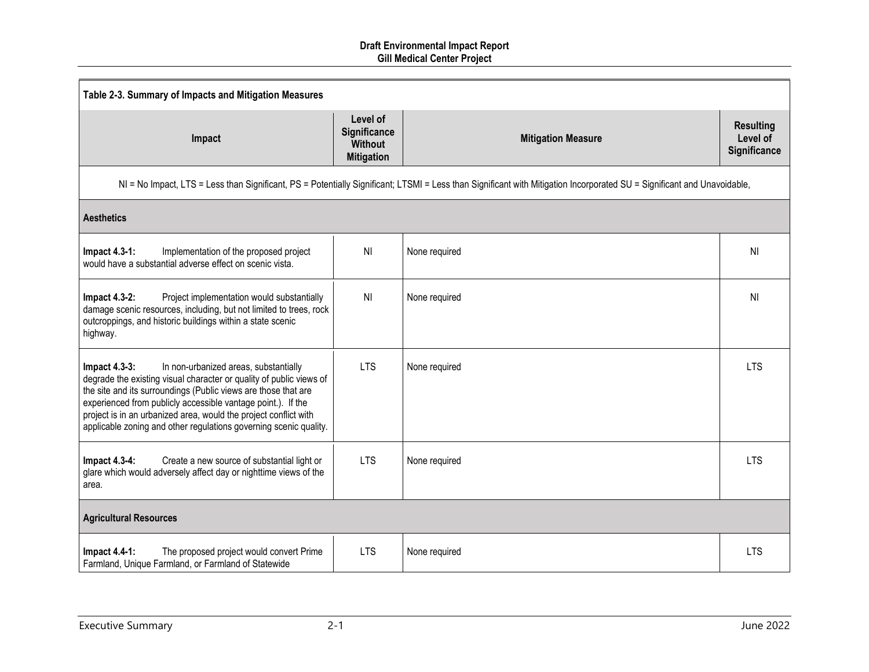| Table 2-3. Summary of Impacts and Mitigation Measures                                                                                                                                                                                                                                                                                                                                                       |                                                                 |                                                                                                                                                                         |                                                     |
|-------------------------------------------------------------------------------------------------------------------------------------------------------------------------------------------------------------------------------------------------------------------------------------------------------------------------------------------------------------------------------------------------------------|-----------------------------------------------------------------|-------------------------------------------------------------------------------------------------------------------------------------------------------------------------|-----------------------------------------------------|
| Impact                                                                                                                                                                                                                                                                                                                                                                                                      | Level of<br>Significance<br><b>Without</b><br><b>Mitigation</b> | <b>Mitigation Measure</b>                                                                                                                                               | <b>Resulting</b><br>Level of<br><b>Significance</b> |
|                                                                                                                                                                                                                                                                                                                                                                                                             |                                                                 | NI = No Impact, LTS = Less than Significant, PS = Potentially Significant; LTSMI = Less than Significant with Mitigation Incorporated SU = Significant and Unavoidable, |                                                     |
| <b>Aesthetics</b>                                                                                                                                                                                                                                                                                                                                                                                           |                                                                 |                                                                                                                                                                         |                                                     |
| <b>Impact 4.3-1:</b><br>Implementation of the proposed project<br>would have a substantial adverse effect on scenic vista.                                                                                                                                                                                                                                                                                  | N <sub>l</sub>                                                  | None required                                                                                                                                                           | <b>NI</b>                                           |
| <b>Impact 4.3-2:</b><br>Project implementation would substantially<br>damage scenic resources, including, but not limited to trees, rock<br>outcroppings, and historic buildings within a state scenic<br>highway.                                                                                                                                                                                          | N <sub>l</sub>                                                  | None required                                                                                                                                                           | <b>NI</b>                                           |
| In non-urbanized areas, substantially<br>Impact $4.3-3$ :<br>degrade the existing visual character or quality of public views of<br>the site and its surroundings (Public views are those that are<br>experienced from publicly accessible vantage point.). If the<br>project is in an urbanized area, would the project conflict with<br>applicable zoning and other regulations governing scenic quality. | <b>LTS</b>                                                      | None required                                                                                                                                                           | <b>LTS</b>                                          |
| <b>Impact 4.3-4:</b><br>Create a new source of substantial light or<br>glare which would adversely affect day or nighttime views of the<br>area.                                                                                                                                                                                                                                                            | <b>LTS</b>                                                      | None required                                                                                                                                                           | <b>LTS</b>                                          |
| <b>Agricultural Resources</b>                                                                                                                                                                                                                                                                                                                                                                               |                                                                 |                                                                                                                                                                         |                                                     |
| <b>Impact 4.4-1:</b><br>The proposed project would convert Prime<br>Farmland, Unique Farmland, or Farmland of Statewide                                                                                                                                                                                                                                                                                     | <b>LTS</b>                                                      | None required                                                                                                                                                           | <b>LTS</b>                                          |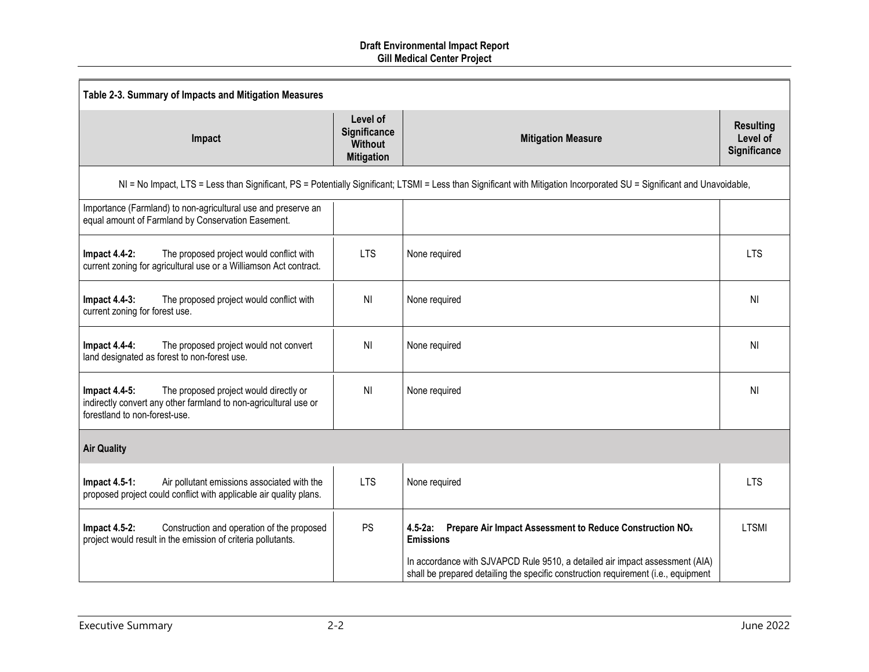| Table 2-3. Summary of Impacts and Mitigation Measures                                                                                                        |                                                                 |                                                                                                                                                                         |                                              |
|--------------------------------------------------------------------------------------------------------------------------------------------------------------|-----------------------------------------------------------------|-------------------------------------------------------------------------------------------------------------------------------------------------------------------------|----------------------------------------------|
| Impact                                                                                                                                                       | Level of<br>Significance<br><b>Without</b><br><b>Mitigation</b> | <b>Mitigation Measure</b>                                                                                                                                               | <b>Resulting</b><br>Level of<br>Significance |
|                                                                                                                                                              |                                                                 | NI = No Impact, LTS = Less than Significant, PS = Potentially Significant; LTSMI = Less than Significant with Mitigation Incorporated SU = Significant and Unavoidable, |                                              |
| Importance (Farmland) to non-agricultural use and preserve an<br>equal amount of Farmland by Conservation Easement.                                          |                                                                 |                                                                                                                                                                         |                                              |
| The proposed project would conflict with<br><b>Impact 4.4-2:</b><br>current zoning for agricultural use or a Williamson Act contract.                        | <b>LTS</b>                                                      | None required                                                                                                                                                           | <b>LTS</b>                                   |
| <b>Impact 4.4-3:</b><br>The proposed project would conflict with<br>current zoning for forest use.                                                           | <b>NI</b>                                                       | None required                                                                                                                                                           | N <sub>l</sub>                               |
| <b>Impact 4.4-4:</b><br>The proposed project would not convert<br>land designated as forest to non-forest use.                                               | N <sub>l</sub>                                                  | None required                                                                                                                                                           | NI                                           |
| The proposed project would directly or<br>Impact 4.4-5:<br>indirectly convert any other farmland to non-agricultural use or<br>forestland to non-forest-use. | <b>NI</b>                                                       | None required                                                                                                                                                           | <b>NI</b>                                    |
| <b>Air Quality</b>                                                                                                                                           |                                                                 |                                                                                                                                                                         |                                              |
| Air pollutant emissions associated with the<br>Impact 4.5-1:<br>proposed project could conflict with applicable air quality plans.                           | <b>LTS</b>                                                      | None required                                                                                                                                                           | <b>LTS</b>                                   |
| <b>Impact 4.5-2:</b><br>Construction and operation of the proposed<br>project would result in the emission of criteria pollutants.                           | PS                                                              | $4.5 - 2a$ :<br>Prepare Air Impact Assessment to Reduce Construction NO <sub>x</sub><br><b>Emissions</b>                                                                | <b>LTSMI</b>                                 |
|                                                                                                                                                              |                                                                 | In accordance with SJVAPCD Rule 9510, a detailed air impact assessment (AIA)<br>shall be prepared detailing the specific construction requirement (i.e., equipment      |                                              |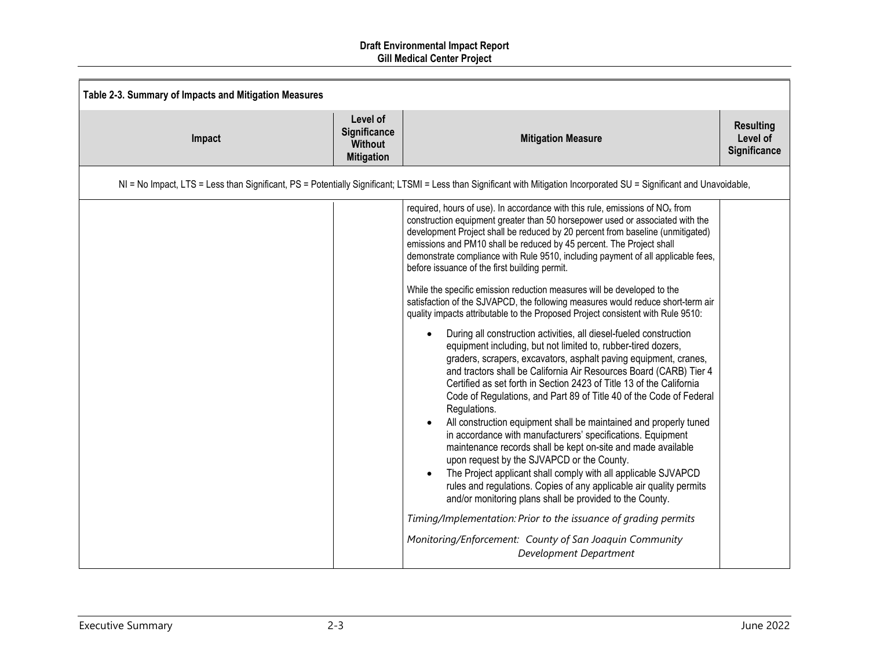| Table 2-3. Summary of Impacts and Mitigation Measures |                                                                 |                                                                                                                                                                                                                                                                                                                                                                                                                                                                                                                                                                                                                                                                                                                                                                                                                                                                                                                                                                                                                                                                                                                                                                                                                                                                                                                                                                                                                                                                                                                                                                                                                                                                                                                                                                |                                              |
|-------------------------------------------------------|-----------------------------------------------------------------|----------------------------------------------------------------------------------------------------------------------------------------------------------------------------------------------------------------------------------------------------------------------------------------------------------------------------------------------------------------------------------------------------------------------------------------------------------------------------------------------------------------------------------------------------------------------------------------------------------------------------------------------------------------------------------------------------------------------------------------------------------------------------------------------------------------------------------------------------------------------------------------------------------------------------------------------------------------------------------------------------------------------------------------------------------------------------------------------------------------------------------------------------------------------------------------------------------------------------------------------------------------------------------------------------------------------------------------------------------------------------------------------------------------------------------------------------------------------------------------------------------------------------------------------------------------------------------------------------------------------------------------------------------------------------------------------------------------------------------------------------------------|----------------------------------------------|
| Impact                                                | Level of<br>Significance<br><b>Without</b><br><b>Mitigation</b> | <b>Mitigation Measure</b>                                                                                                                                                                                                                                                                                                                                                                                                                                                                                                                                                                                                                                                                                                                                                                                                                                                                                                                                                                                                                                                                                                                                                                                                                                                                                                                                                                                                                                                                                                                                                                                                                                                                                                                                      | <b>Resulting</b><br>Level of<br>Significance |
|                                                       |                                                                 | NI = No Impact, LTS = Less than Significant, PS = Potentially Significant; LTSMI = Less than Significant with Mitigation Incorporated SU = Significant and Unavoidable,                                                                                                                                                                                                                                                                                                                                                                                                                                                                                                                                                                                                                                                                                                                                                                                                                                                                                                                                                                                                                                                                                                                                                                                                                                                                                                                                                                                                                                                                                                                                                                                        |                                              |
|                                                       |                                                                 | required, hours of use). In accordance with this rule, emissions of NO <sub>x</sub> from<br>construction equipment greater than 50 horsepower used or associated with the<br>development Project shall be reduced by 20 percent from baseline (unmitigated)<br>emissions and PM10 shall be reduced by 45 percent. The Project shall<br>demonstrate compliance with Rule 9510, including payment of all applicable fees,<br>before issuance of the first building permit.<br>While the specific emission reduction measures will be developed to the<br>satisfaction of the SJVAPCD, the following measures would reduce short-term air<br>quality impacts attributable to the Proposed Project consistent with Rule 9510:<br>During all construction activities, all diesel-fueled construction<br>equipment including, but not limited to, rubber-tired dozers,<br>graders, scrapers, excavators, asphalt paving equipment, cranes,<br>and tractors shall be California Air Resources Board (CARB) Tier 4<br>Certified as set forth in Section 2423 of Title 13 of the California<br>Code of Regulations, and Part 89 of Title 40 of the Code of Federal<br>Regulations.<br>All construction equipment shall be maintained and properly tuned<br>in accordance with manufacturers' specifications. Equipment<br>maintenance records shall be kept on-site and made available<br>upon request by the SJVAPCD or the County.<br>The Project applicant shall comply with all applicable SJVAPCD<br>rules and regulations. Copies of any applicable air quality permits<br>and/or monitoring plans shall be provided to the County.<br>Timing/Implementation: Prior to the issuance of grading permits<br>Monitoring/Enforcement: County of San Joaquin Community |                                              |
|                                                       |                                                                 | Development Department                                                                                                                                                                                                                                                                                                                                                                                                                                                                                                                                                                                                                                                                                                                                                                                                                                                                                                                                                                                                                                                                                                                                                                                                                                                                                                                                                                                                                                                                                                                                                                                                                                                                                                                                         |                                              |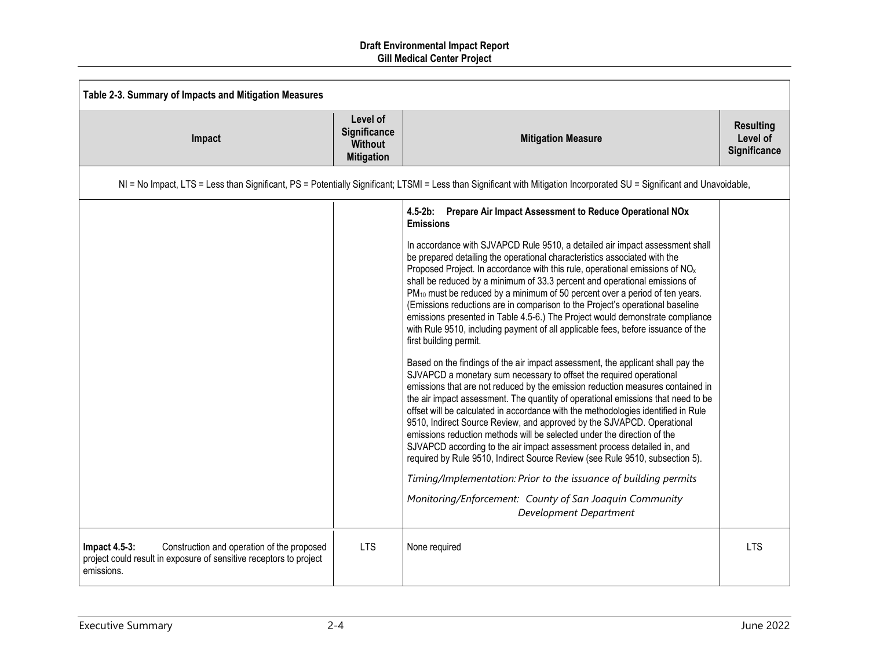| Table 2-3. Summary of Impacts and Mitigation Measures                                                                                              |                                                                 |                                                                                                                                                                                                                                                                                                                                                                                                                                                                                                                                                                                                                                                                                                                                                                                                                                                                                                                                                                                                                                                                                                                                                                                                                                                                                                                                                                                                                                                                                                                                                                                                                                                                                                     |                                              |
|----------------------------------------------------------------------------------------------------------------------------------------------------|-----------------------------------------------------------------|-----------------------------------------------------------------------------------------------------------------------------------------------------------------------------------------------------------------------------------------------------------------------------------------------------------------------------------------------------------------------------------------------------------------------------------------------------------------------------------------------------------------------------------------------------------------------------------------------------------------------------------------------------------------------------------------------------------------------------------------------------------------------------------------------------------------------------------------------------------------------------------------------------------------------------------------------------------------------------------------------------------------------------------------------------------------------------------------------------------------------------------------------------------------------------------------------------------------------------------------------------------------------------------------------------------------------------------------------------------------------------------------------------------------------------------------------------------------------------------------------------------------------------------------------------------------------------------------------------------------------------------------------------------------------------------------------------|----------------------------------------------|
| Impact                                                                                                                                             | Level of<br>Significance<br><b>Without</b><br><b>Mitigation</b> | <b>Mitigation Measure</b>                                                                                                                                                                                                                                                                                                                                                                                                                                                                                                                                                                                                                                                                                                                                                                                                                                                                                                                                                                                                                                                                                                                                                                                                                                                                                                                                                                                                                                                                                                                                                                                                                                                                           | <b>Resulting</b><br>Level of<br>Significance |
|                                                                                                                                                    |                                                                 | NI = No Impact, LTS = Less than Significant, PS = Potentially Significant; LTSMI = Less than Significant with Mitigation Incorporated SU = Significant and Unavoidable,                                                                                                                                                                                                                                                                                                                                                                                                                                                                                                                                                                                                                                                                                                                                                                                                                                                                                                                                                                                                                                                                                                                                                                                                                                                                                                                                                                                                                                                                                                                             |                                              |
|                                                                                                                                                    |                                                                 | 4.5-2b: Prepare Air Impact Assessment to Reduce Operational NOx<br><b>Emissions</b><br>In accordance with SJVAPCD Rule 9510, a detailed air impact assessment shall<br>be prepared detailing the operational characteristics associated with the<br>Proposed Project. In accordance with this rule, operational emissions of NO <sub>x</sub><br>shall be reduced by a minimum of 33.3 percent and operational emissions of<br>PM <sub>10</sub> must be reduced by a minimum of 50 percent over a period of ten years.<br>(Emissions reductions are in comparison to the Project's operational baseline<br>emissions presented in Table 4.5-6.) The Project would demonstrate compliance<br>with Rule 9510, including payment of all applicable fees, before issuance of the<br>first building permit.<br>Based on the findings of the air impact assessment, the applicant shall pay the<br>SJVAPCD a monetary sum necessary to offset the required operational<br>emissions that are not reduced by the emission reduction measures contained in<br>the air impact assessment. The quantity of operational emissions that need to be<br>offset will be calculated in accordance with the methodologies identified in Rule<br>9510, Indirect Source Review, and approved by the SJVAPCD. Operational<br>emissions reduction methods will be selected under the direction of the<br>SJVAPCD according to the air impact assessment process detailed in, and<br>required by Rule 9510, Indirect Source Review (see Rule 9510, subsection 5).<br>Timing/Implementation: Prior to the issuance of building permits<br>Monitoring/Enforcement: County of San Joaquin Community<br>Development Department |                                              |
| Construction and operation of the proposed<br>Impact $4.5-3$ :<br>project could result in exposure of sensitive receptors to project<br>emissions. | <b>LTS</b>                                                      | None required                                                                                                                                                                                                                                                                                                                                                                                                                                                                                                                                                                                                                                                                                                                                                                                                                                                                                                                                                                                                                                                                                                                                                                                                                                                                                                                                                                                                                                                                                                                                                                                                                                                                                       | <b>LTS</b>                                   |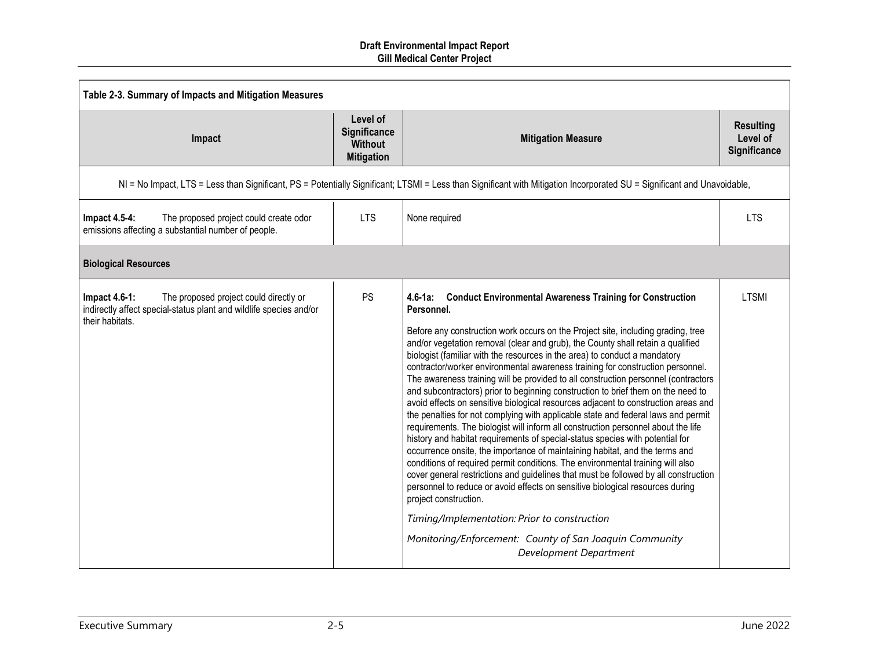| Table 2-3. Summary of Impacts and Mitigation Measures                                                                                                   |                                                                 |                                                                                                                                                                                                                                                                                                                                                                                                                                                                                                                                                                                                                                                                                                                                                                                                                                                                                                                                                                                                                                                                                                                                                                                                                                                                                                                                                                                                                                                          |                                              |
|---------------------------------------------------------------------------------------------------------------------------------------------------------|-----------------------------------------------------------------|----------------------------------------------------------------------------------------------------------------------------------------------------------------------------------------------------------------------------------------------------------------------------------------------------------------------------------------------------------------------------------------------------------------------------------------------------------------------------------------------------------------------------------------------------------------------------------------------------------------------------------------------------------------------------------------------------------------------------------------------------------------------------------------------------------------------------------------------------------------------------------------------------------------------------------------------------------------------------------------------------------------------------------------------------------------------------------------------------------------------------------------------------------------------------------------------------------------------------------------------------------------------------------------------------------------------------------------------------------------------------------------------------------------------------------------------------------|----------------------------------------------|
| Impact                                                                                                                                                  | Level of<br>Significance<br><b>Without</b><br><b>Mitigation</b> | <b>Mitigation Measure</b>                                                                                                                                                                                                                                                                                                                                                                                                                                                                                                                                                                                                                                                                                                                                                                                                                                                                                                                                                                                                                                                                                                                                                                                                                                                                                                                                                                                                                                | <b>Resulting</b><br>Level of<br>Significance |
|                                                                                                                                                         |                                                                 | NI = No Impact, LTS = Less than Significant, PS = Potentially Significant; LTSMI = Less than Significant with Mitigation Incorporated SU = Significant and Unavoidable,                                                                                                                                                                                                                                                                                                                                                                                                                                                                                                                                                                                                                                                                                                                                                                                                                                                                                                                                                                                                                                                                                                                                                                                                                                                                                  |                                              |
| The proposed project could create odor<br><b>Impact 4.5-4:</b><br>emissions affecting a substantial number of people.                                   | <b>LTS</b>                                                      | None required                                                                                                                                                                                                                                                                                                                                                                                                                                                                                                                                                                                                                                                                                                                                                                                                                                                                                                                                                                                                                                                                                                                                                                                                                                                                                                                                                                                                                                            | <b>LTS</b>                                   |
| <b>Biological Resources</b>                                                                                                                             |                                                                 |                                                                                                                                                                                                                                                                                                                                                                                                                                                                                                                                                                                                                                                                                                                                                                                                                                                                                                                                                                                                                                                                                                                                                                                                                                                                                                                                                                                                                                                          |                                              |
| <b>Impact 4.6-1:</b><br>The proposed project could directly or<br>indirectly affect special-status plant and wildlife species and/or<br>their habitats. | PS                                                              | 4.6-1a: Conduct Environmental Awareness Training for Construction<br>Personnel.<br>Before any construction work occurs on the Project site, including grading, tree<br>and/or vegetation removal (clear and grub), the County shall retain a qualified<br>biologist (familiar with the resources in the area) to conduct a mandatory<br>contractor/worker environmental awareness training for construction personnel.<br>The awareness training will be provided to all construction personnel (contractors<br>and subcontractors) prior to beginning construction to brief them on the need to<br>avoid effects on sensitive biological resources adjacent to construction areas and<br>the penalties for not complying with applicable state and federal laws and permit<br>requirements. The biologist will inform all construction personnel about the life<br>history and habitat requirements of special-status species with potential for<br>occurrence onsite, the importance of maintaining habitat, and the terms and<br>conditions of required permit conditions. The environmental training will also<br>cover general restrictions and guidelines that must be followed by all construction<br>personnel to reduce or avoid effects on sensitive biological resources during<br>project construction.<br>Timing/Implementation: Prior to construction<br>Monitoring/Enforcement: County of San Joaquin Community<br>Development Department | <b>LTSMI</b>                                 |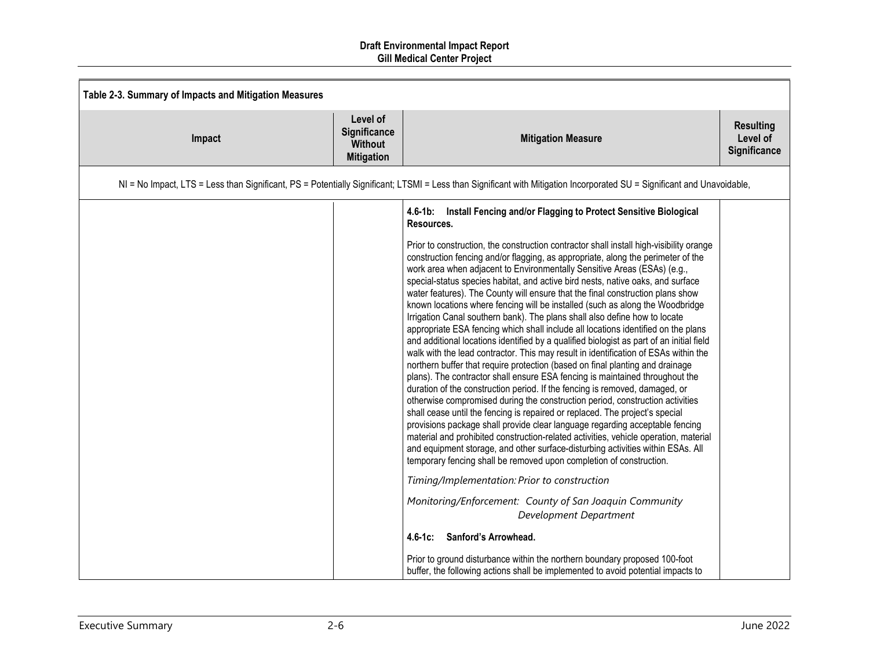| Table 2-3. Summary of Impacts and Mitigation Measures |                                                                 |                                                                                                                                                                                                                                                                                                                                                                                                                                                                                                                                                                                                                                                                                                                                                                                                                                                                                                                                                                                                                                                                                                                                                                                                                                                                                                                                                                                                                                                                                                                                                                                                                                                                                                                                                                 |                                              |
|-------------------------------------------------------|-----------------------------------------------------------------|-----------------------------------------------------------------------------------------------------------------------------------------------------------------------------------------------------------------------------------------------------------------------------------------------------------------------------------------------------------------------------------------------------------------------------------------------------------------------------------------------------------------------------------------------------------------------------------------------------------------------------------------------------------------------------------------------------------------------------------------------------------------------------------------------------------------------------------------------------------------------------------------------------------------------------------------------------------------------------------------------------------------------------------------------------------------------------------------------------------------------------------------------------------------------------------------------------------------------------------------------------------------------------------------------------------------------------------------------------------------------------------------------------------------------------------------------------------------------------------------------------------------------------------------------------------------------------------------------------------------------------------------------------------------------------------------------------------------------------------------------------------------|----------------------------------------------|
| Impact                                                | Level of<br>Significance<br><b>Without</b><br><b>Mitigation</b> | <b>Mitigation Measure</b>                                                                                                                                                                                                                                                                                                                                                                                                                                                                                                                                                                                                                                                                                                                                                                                                                                                                                                                                                                                                                                                                                                                                                                                                                                                                                                                                                                                                                                                                                                                                                                                                                                                                                                                                       | <b>Resulting</b><br>Level of<br>Significance |
|                                                       |                                                                 | NI = No Impact, LTS = Less than Significant, PS = Potentially Significant; LTSMI = Less than Significant with Mitigation Incorporated SU = Significant and Unavoidable,                                                                                                                                                                                                                                                                                                                                                                                                                                                                                                                                                                                                                                                                                                                                                                                                                                                                                                                                                                                                                                                                                                                                                                                                                                                                                                                                                                                                                                                                                                                                                                                         |                                              |
|                                                       |                                                                 | 4.6-1b: Install Fencing and/or Flagging to Protect Sensitive Biological<br>Resources.<br>Prior to construction, the construction contractor shall install high-visibility orange<br>construction fencing and/or flagging, as appropriate, along the perimeter of the<br>work area when adjacent to Environmentally Sensitive Areas (ESAs) (e.g.,<br>special-status species habitat, and active bird nests, native oaks, and surface<br>water features). The County will ensure that the final construction plans show<br>known locations where fencing will be installed (such as along the Woodbridge<br>Irrigation Canal southern bank). The plans shall also define how to locate<br>appropriate ESA fencing which shall include all locations identified on the plans<br>and additional locations identified by a qualified biologist as part of an initial field<br>walk with the lead contractor. This may result in identification of ESAs within the<br>northern buffer that require protection (based on final planting and drainage<br>plans). The contractor shall ensure ESA fencing is maintained throughout the<br>duration of the construction period. If the fencing is removed, damaged, or<br>otherwise compromised during the construction period, construction activities<br>shall cease until the fencing is repaired or replaced. The project's special<br>provisions package shall provide clear language regarding acceptable fencing<br>material and prohibited construction-related activities, vehicle operation, material<br>and equipment storage, and other surface-disturbing activities within ESAs. All<br>temporary fencing shall be removed upon completion of construction.<br>Timing/Implementation: Prior to construction |                                              |
|                                                       |                                                                 | Monitoring/Enforcement: County of San Joaquin Community<br>Development Department                                                                                                                                                                                                                                                                                                                                                                                                                                                                                                                                                                                                                                                                                                                                                                                                                                                                                                                                                                                                                                                                                                                                                                                                                                                                                                                                                                                                                                                                                                                                                                                                                                                                               |                                              |
|                                                       |                                                                 | Sanford's Arrowhead.<br>$4.6 - 1c$ :                                                                                                                                                                                                                                                                                                                                                                                                                                                                                                                                                                                                                                                                                                                                                                                                                                                                                                                                                                                                                                                                                                                                                                                                                                                                                                                                                                                                                                                                                                                                                                                                                                                                                                                            |                                              |
|                                                       |                                                                 | Prior to ground disturbance within the northern boundary proposed 100-foot<br>buffer, the following actions shall be implemented to avoid potential impacts to                                                                                                                                                                                                                                                                                                                                                                                                                                                                                                                                                                                                                                                                                                                                                                                                                                                                                                                                                                                                                                                                                                                                                                                                                                                                                                                                                                                                                                                                                                                                                                                                  |                                              |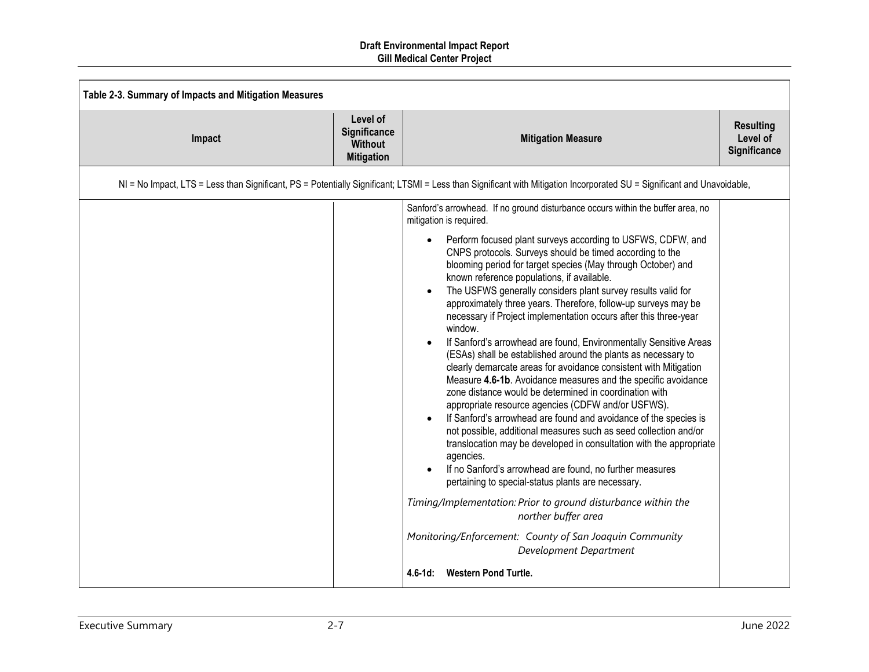| Table 2-3. Summary of Impacts and Mitigation Measures |                                                                 |                                                                                                                                                                                                                                                                                                                                                                                                                                                                                                                                                                                                                                                                                                                                                                                                                                                                                                                                                                                                                                                                                                                                                                                                                                                                                                                            |                                              |
|-------------------------------------------------------|-----------------------------------------------------------------|----------------------------------------------------------------------------------------------------------------------------------------------------------------------------------------------------------------------------------------------------------------------------------------------------------------------------------------------------------------------------------------------------------------------------------------------------------------------------------------------------------------------------------------------------------------------------------------------------------------------------------------------------------------------------------------------------------------------------------------------------------------------------------------------------------------------------------------------------------------------------------------------------------------------------------------------------------------------------------------------------------------------------------------------------------------------------------------------------------------------------------------------------------------------------------------------------------------------------------------------------------------------------------------------------------------------------|----------------------------------------------|
| Impact                                                | Level of<br>Significance<br><b>Without</b><br><b>Mitigation</b> | <b>Mitigation Measure</b>                                                                                                                                                                                                                                                                                                                                                                                                                                                                                                                                                                                                                                                                                                                                                                                                                                                                                                                                                                                                                                                                                                                                                                                                                                                                                                  | <b>Resulting</b><br>Level of<br>Significance |
|                                                       |                                                                 | NI = No Impact, LTS = Less than Significant, PS = Potentially Significant; LTSMI = Less than Significant with Mitigation Incorporated SU = Significant and Unavoidable,                                                                                                                                                                                                                                                                                                                                                                                                                                                                                                                                                                                                                                                                                                                                                                                                                                                                                                                                                                                                                                                                                                                                                    |                                              |
|                                                       |                                                                 | Sanford's arrowhead. If no ground disturbance occurs within the buffer area, no<br>mitigation is required.<br>Perform focused plant surveys according to USFWS, CDFW, and<br>CNPS protocols. Surveys should be timed according to the<br>blooming period for target species (May through October) and<br>known reference populations, if available.<br>The USFWS generally considers plant survey results valid for<br>$\bullet$<br>approximately three years. Therefore, follow-up surveys may be<br>necessary if Project implementation occurs after this three-year<br>window.<br>If Sanford's arrowhead are found, Environmentally Sensitive Areas<br>(ESAs) shall be established around the plants as necessary to<br>clearly demarcate areas for avoidance consistent with Mitigation<br>Measure 4.6-1b. Avoidance measures and the specific avoidance<br>zone distance would be determined in coordination with<br>appropriate resource agencies (CDFW and/or USFWS).<br>If Sanford's arrowhead are found and avoidance of the species is<br>not possible, additional measures such as seed collection and/or<br>translocation may be developed in consultation with the appropriate<br>agencies.<br>If no Sanford's arrowhead are found, no further measures<br>pertaining to special-status plants are necessary. |                                              |
|                                                       |                                                                 | Timing/Implementation: Prior to ground disturbance within the<br>norther buffer area<br>Monitoring/Enforcement: County of San Joaquin Community<br>Development Department                                                                                                                                                                                                                                                                                                                                                                                                                                                                                                                                                                                                                                                                                                                                                                                                                                                                                                                                                                                                                                                                                                                                                  |                                              |
|                                                       |                                                                 | $4.6 - 1d$ :<br><b>Western Pond Turtle.</b>                                                                                                                                                                                                                                                                                                                                                                                                                                                                                                                                                                                                                                                                                                                                                                                                                                                                                                                                                                                                                                                                                                                                                                                                                                                                                |                                              |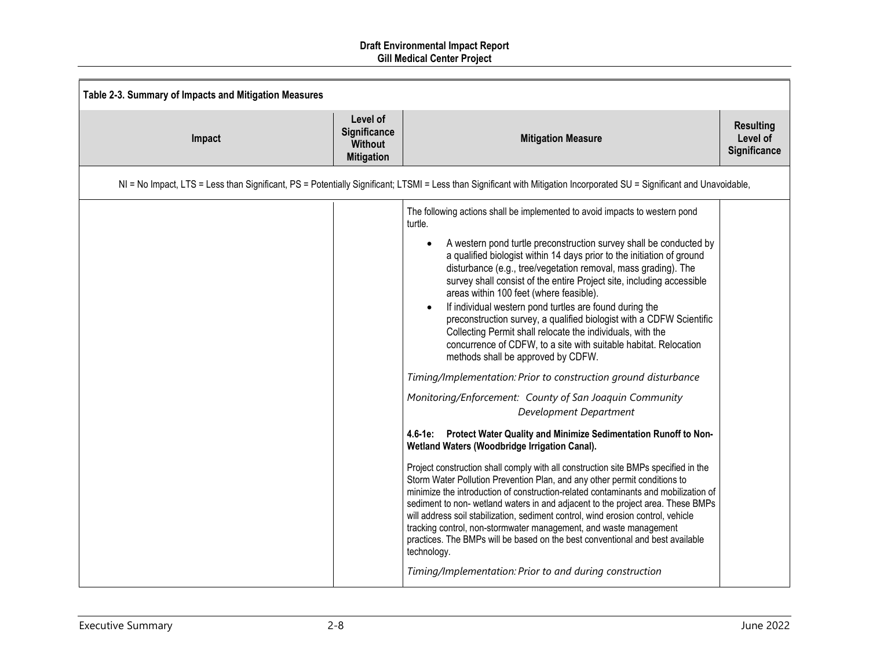| Table 2-3. Summary of Impacts and Mitigation Measures |                                                                 |                                                                                                                                                                                                                                                                                                                                                                                                                                                                                                                                                                                                                                                                                                                                                                                                                                                                                                                                                                                                                                                                                                                                                                                                                                                                                                                                                                                                                                                                                                                                                                                                                                                                                                |                                              |
|-------------------------------------------------------|-----------------------------------------------------------------|------------------------------------------------------------------------------------------------------------------------------------------------------------------------------------------------------------------------------------------------------------------------------------------------------------------------------------------------------------------------------------------------------------------------------------------------------------------------------------------------------------------------------------------------------------------------------------------------------------------------------------------------------------------------------------------------------------------------------------------------------------------------------------------------------------------------------------------------------------------------------------------------------------------------------------------------------------------------------------------------------------------------------------------------------------------------------------------------------------------------------------------------------------------------------------------------------------------------------------------------------------------------------------------------------------------------------------------------------------------------------------------------------------------------------------------------------------------------------------------------------------------------------------------------------------------------------------------------------------------------------------------------------------------------------------------------|----------------------------------------------|
| Impact                                                | Level of<br>Significance<br><b>Without</b><br><b>Mitigation</b> | <b>Mitigation Measure</b>                                                                                                                                                                                                                                                                                                                                                                                                                                                                                                                                                                                                                                                                                                                                                                                                                                                                                                                                                                                                                                                                                                                                                                                                                                                                                                                                                                                                                                                                                                                                                                                                                                                                      | <b>Resulting</b><br>Level of<br>Significance |
|                                                       |                                                                 | NI = No Impact, LTS = Less than Significant, PS = Potentially Significant; LTSMI = Less than Significant with Mitigation Incorporated SU = Significant and Unavoidable,                                                                                                                                                                                                                                                                                                                                                                                                                                                                                                                                                                                                                                                                                                                                                                                                                                                                                                                                                                                                                                                                                                                                                                                                                                                                                                                                                                                                                                                                                                                        |                                              |
|                                                       |                                                                 | The following actions shall be implemented to avoid impacts to western pond<br>turtle.<br>A western pond turtle preconstruction survey shall be conducted by<br>a qualified biologist within 14 days prior to the initiation of ground<br>disturbance (e.g., tree/vegetation removal, mass grading). The<br>survey shall consist of the entire Project site, including accessible<br>areas within 100 feet (where feasible).<br>If individual western pond turtles are found during the<br>preconstruction survey, a qualified biologist with a CDFW Scientific<br>Collecting Permit shall relocate the individuals, with the<br>concurrence of CDFW, to a site with suitable habitat. Relocation<br>methods shall be approved by CDFW.<br>Timing/Implementation: Prior to construction ground disturbance<br>Monitoring/Enforcement: County of San Joaquin Community<br>Development Department<br>4.6-1e:<br>Protect Water Quality and Minimize Sedimentation Runoff to Non-<br>Wetland Waters (Woodbridge Irrigation Canal).<br>Project construction shall comply with all construction site BMPs specified in the<br>Storm Water Pollution Prevention Plan, and any other permit conditions to<br>minimize the introduction of construction-related contaminants and mobilization of<br>sediment to non- wetland waters in and adjacent to the project area. These BMPs<br>will address soil stabilization, sediment control, wind erosion control, vehicle<br>tracking control, non-stormwater management, and waste management<br>practices. The BMPs will be based on the best conventional and best available<br>technology.<br>Timing/Implementation: Prior to and during construction |                                              |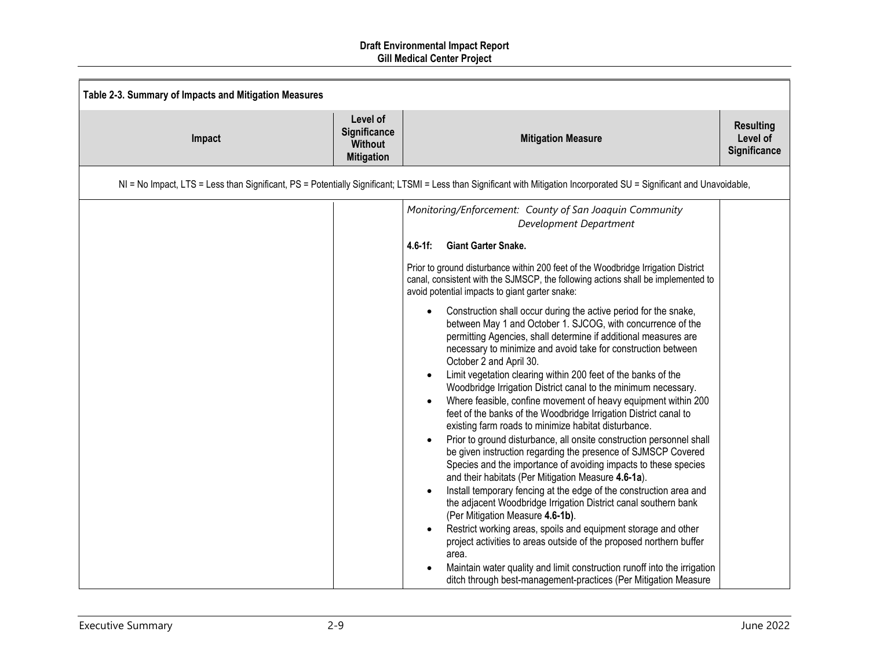| Table 2-3. Summary of Impacts and Mitigation Measures |                                                                 |                                                                                                                                                                                                                                                                                                                                       |                                              |
|-------------------------------------------------------|-----------------------------------------------------------------|---------------------------------------------------------------------------------------------------------------------------------------------------------------------------------------------------------------------------------------------------------------------------------------------------------------------------------------|----------------------------------------------|
| Impact                                                | Level of<br>Significance<br><b>Without</b><br><b>Mitigation</b> | <b>Mitigation Measure</b>                                                                                                                                                                                                                                                                                                             | <b>Resulting</b><br>Level of<br>Significance |
|                                                       |                                                                 | NI = No Impact, LTS = Less than Significant, PS = Potentially Significant; LTSMI = Less than Significant with Mitigation Incorporated SU = Significant and Unavoidable,                                                                                                                                                               |                                              |
|                                                       |                                                                 | Monitoring/Enforcement: County of San Joaquin Community<br>Development Department<br>$4.6 - 1f$ :<br><b>Giant Garter Snake.</b>                                                                                                                                                                                                       |                                              |
|                                                       |                                                                 | Prior to ground disturbance within 200 feet of the Woodbridge Irrigation District<br>canal, consistent with the SJMSCP, the following actions shall be implemented to<br>avoid potential impacts to giant garter snake:                                                                                                               |                                              |
|                                                       |                                                                 | Construction shall occur during the active period for the snake,<br>between May 1 and October 1. SJCOG, with concurrence of the<br>permitting Agencies, shall determine if additional measures are<br>necessary to minimize and avoid take for construction between<br>October 2 and April 30.                                        |                                              |
|                                                       |                                                                 | Limit vegetation clearing within 200 feet of the banks of the<br>Woodbridge Irrigation District canal to the minimum necessary.<br>Where feasible, confine movement of heavy equipment within 200<br>feet of the banks of the Woodbridge Irrigation District canal to<br>existing farm roads to minimize habitat disturbance.         |                                              |
|                                                       |                                                                 | Prior to ground disturbance, all onsite construction personnel shall<br>be given instruction regarding the presence of SJMSCP Covered<br>Species and the importance of avoiding impacts to these species<br>and their habitats (Per Mitigation Measure 4.6-1a).<br>Install temporary fencing at the edge of the construction area and |                                              |
|                                                       |                                                                 | the adjacent Woodbridge Irrigation District canal southern bank<br>(Per Mitigation Measure 4.6-1b).<br>Restrict working areas, spoils and equipment storage and other                                                                                                                                                                 |                                              |
|                                                       |                                                                 | project activities to areas outside of the proposed northern buffer<br>area.<br>Maintain water quality and limit construction runoff into the irrigation<br>ditch through best-management-practices (Per Mitigation Measure                                                                                                           |                                              |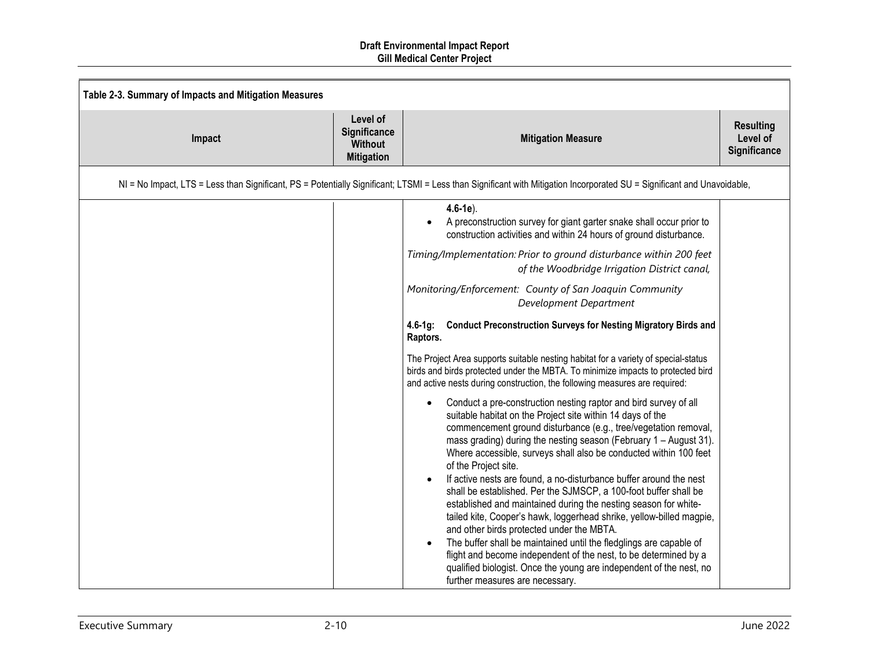| Table 2-3. Summary of Impacts and Mitigation Measures |                                                                 |                                                                                                                                                                                                                                                                                                                                                                                                                                                                                                                                                                                                                                                                                                                                                                                                                                                                                                                                                           |                                              |
|-------------------------------------------------------|-----------------------------------------------------------------|-----------------------------------------------------------------------------------------------------------------------------------------------------------------------------------------------------------------------------------------------------------------------------------------------------------------------------------------------------------------------------------------------------------------------------------------------------------------------------------------------------------------------------------------------------------------------------------------------------------------------------------------------------------------------------------------------------------------------------------------------------------------------------------------------------------------------------------------------------------------------------------------------------------------------------------------------------------|----------------------------------------------|
| Impact                                                | Level of<br>Significance<br><b>Without</b><br><b>Mitigation</b> | <b>Mitigation Measure</b>                                                                                                                                                                                                                                                                                                                                                                                                                                                                                                                                                                                                                                                                                                                                                                                                                                                                                                                                 | <b>Resulting</b><br>Level of<br>Significance |
|                                                       |                                                                 | NI = No Impact, LTS = Less than Significant, PS = Potentially Significant; LTSMI = Less than Significant with Mitigation Incorporated SU = Significant and Unavoidable,                                                                                                                                                                                                                                                                                                                                                                                                                                                                                                                                                                                                                                                                                                                                                                                   |                                              |
|                                                       |                                                                 | $4.6 - 1e$ ).<br>A preconstruction survey for giant garter snake shall occur prior to<br>construction activities and within 24 hours of ground disturbance.                                                                                                                                                                                                                                                                                                                                                                                                                                                                                                                                                                                                                                                                                                                                                                                               |                                              |
|                                                       |                                                                 | Timing/Implementation: Prior to ground disturbance within 200 feet<br>of the Woodbridge Irrigation District canal,                                                                                                                                                                                                                                                                                                                                                                                                                                                                                                                                                                                                                                                                                                                                                                                                                                        |                                              |
|                                                       |                                                                 | Monitoring/Enforcement: County of San Joaquin Community<br>Development Department                                                                                                                                                                                                                                                                                                                                                                                                                                                                                                                                                                                                                                                                                                                                                                                                                                                                         |                                              |
|                                                       |                                                                 | <b>Conduct Preconstruction Surveys for Nesting Migratory Birds and</b><br>4.6-1q:<br>Raptors.                                                                                                                                                                                                                                                                                                                                                                                                                                                                                                                                                                                                                                                                                                                                                                                                                                                             |                                              |
|                                                       |                                                                 | The Project Area supports suitable nesting habitat for a variety of special-status<br>birds and birds protected under the MBTA. To minimize impacts to protected bird<br>and active nests during construction, the following measures are required:                                                                                                                                                                                                                                                                                                                                                                                                                                                                                                                                                                                                                                                                                                       |                                              |
|                                                       |                                                                 | Conduct a pre-construction nesting raptor and bird survey of all<br>suitable habitat on the Project site within 14 days of the<br>commencement ground disturbance (e.g., tree/vegetation removal,<br>mass grading) during the nesting season (February 1 - August 31).<br>Where accessible, surveys shall also be conducted within 100 feet<br>of the Project site.<br>If active nests are found, a no-disturbance buffer around the nest<br>shall be established. Per the SJMSCP, a 100-foot buffer shall be<br>established and maintained during the nesting season for white-<br>tailed kite, Cooper's hawk, loggerhead shrike, yellow-billed magpie,<br>and other birds protected under the MBTA.<br>The buffer shall be maintained until the fledglings are capable of<br>flight and become independent of the nest, to be determined by a<br>qualified biologist. Once the young are independent of the nest, no<br>further measures are necessary. |                                              |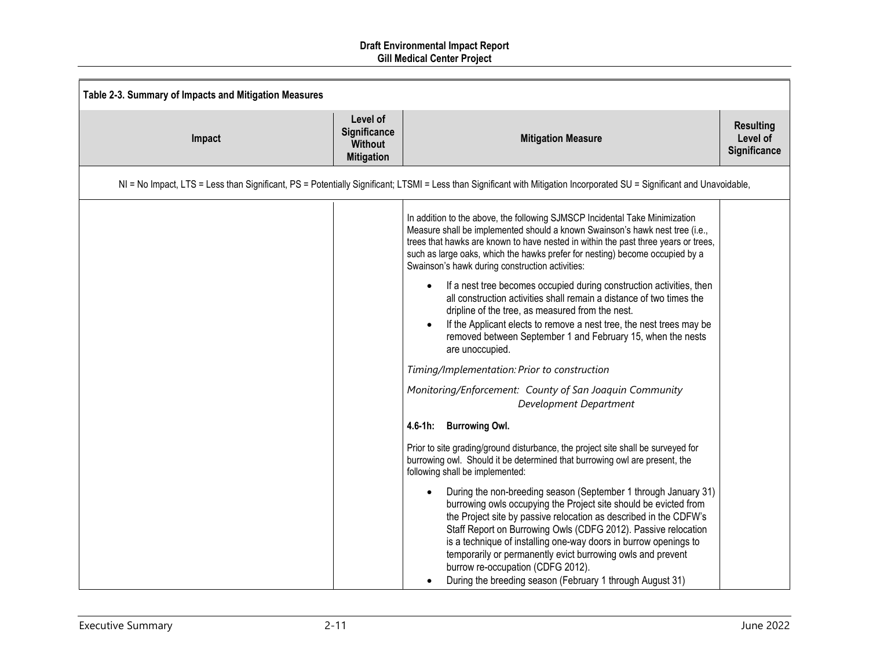| Table 2-3. Summary of Impacts and Mitigation Measures |                                                                 |                                                                                                                                                                                                                                                                                                                                                                                                                                                                                                                              |                                              |
|-------------------------------------------------------|-----------------------------------------------------------------|------------------------------------------------------------------------------------------------------------------------------------------------------------------------------------------------------------------------------------------------------------------------------------------------------------------------------------------------------------------------------------------------------------------------------------------------------------------------------------------------------------------------------|----------------------------------------------|
| Impact                                                | Level of<br>Significance<br><b>Without</b><br><b>Mitigation</b> | <b>Mitigation Measure</b>                                                                                                                                                                                                                                                                                                                                                                                                                                                                                                    | <b>Resulting</b><br>Level of<br>Significance |
|                                                       |                                                                 | NI = No Impact, LTS = Less than Significant, PS = Potentially Significant; LTSMI = Less than Significant with Mitigation Incorporated SU = Significant and Unavoidable,                                                                                                                                                                                                                                                                                                                                                      |                                              |
|                                                       |                                                                 | In addition to the above, the following SJMSCP Incidental Take Minimization<br>Measure shall be implemented should a known Swainson's hawk nest tree (i.e.,<br>trees that hawks are known to have nested in within the past three years or trees,<br>such as large oaks, which the hawks prefer for nesting) become occupied by a<br>Swainson's hawk during construction activities:                                                                                                                                         |                                              |
|                                                       |                                                                 | If a nest tree becomes occupied during construction activities, then<br>all construction activities shall remain a distance of two times the<br>dripline of the tree, as measured from the nest.<br>If the Applicant elects to remove a nest tree, the nest trees may be<br>removed between September 1 and February 15, when the nests<br>are unoccupied.                                                                                                                                                                   |                                              |
|                                                       |                                                                 | Timing/Implementation: Prior to construction                                                                                                                                                                                                                                                                                                                                                                                                                                                                                 |                                              |
|                                                       |                                                                 | Monitoring/Enforcement: County of San Joaquin Community<br>Development Department                                                                                                                                                                                                                                                                                                                                                                                                                                            |                                              |
|                                                       |                                                                 | <b>Burrowing Owl.</b><br>$4.6 - 1h$ :                                                                                                                                                                                                                                                                                                                                                                                                                                                                                        |                                              |
|                                                       |                                                                 | Prior to site grading/ground disturbance, the project site shall be surveyed for<br>burrowing owl. Should it be determined that burrowing owl are present, the<br>following shall be implemented:                                                                                                                                                                                                                                                                                                                            |                                              |
|                                                       |                                                                 | During the non-breeding season (September 1 through January 31)<br>$\bullet$<br>burrowing owls occupying the Project site should be evicted from<br>the Project site by passive relocation as described in the CDFW's<br>Staff Report on Burrowing Owls (CDFG 2012). Passive relocation<br>is a technique of installing one-way doors in burrow openings to<br>temporarily or permanently evict burrowing owls and prevent<br>burrow re-occupation (CDFG 2012).<br>During the breeding season (February 1 through August 31) |                                              |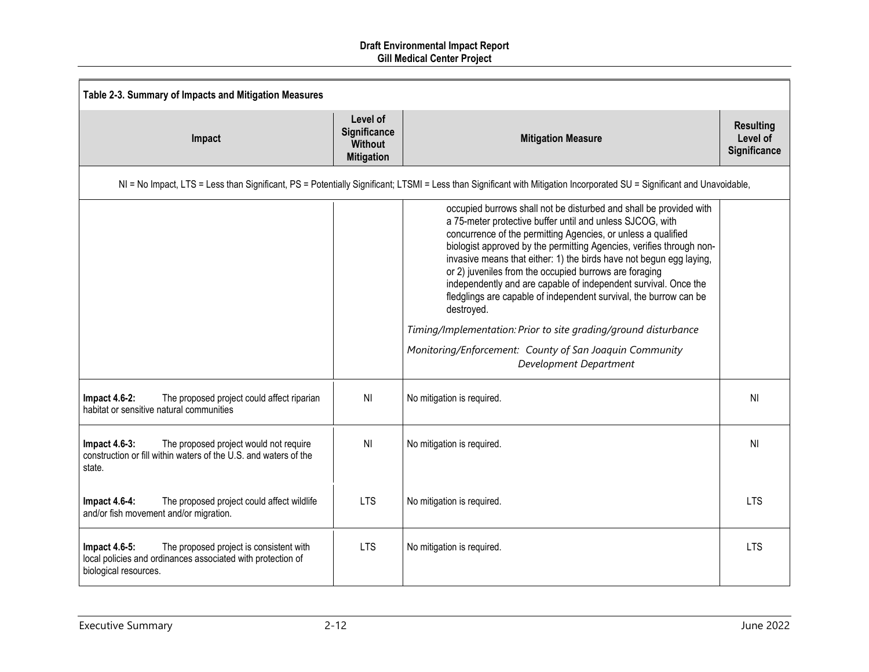| Table 2-3. Summary of Impacts and Mitigation Measures                                                                                                   |                                                                 |                                                                                                                                                                                                                                                                                                                                                                                                                                                                                                                                                                                                                                                                                                                         |                                              |
|---------------------------------------------------------------------------------------------------------------------------------------------------------|-----------------------------------------------------------------|-------------------------------------------------------------------------------------------------------------------------------------------------------------------------------------------------------------------------------------------------------------------------------------------------------------------------------------------------------------------------------------------------------------------------------------------------------------------------------------------------------------------------------------------------------------------------------------------------------------------------------------------------------------------------------------------------------------------------|----------------------------------------------|
| Impact                                                                                                                                                  | Level of<br>Significance<br><b>Without</b><br><b>Mitigation</b> | <b>Mitigation Measure</b>                                                                                                                                                                                                                                                                                                                                                                                                                                                                                                                                                                                                                                                                                               | <b>Resulting</b><br>Level of<br>Significance |
|                                                                                                                                                         |                                                                 | NI = No Impact, LTS = Less than Significant, PS = Potentially Significant; LTSMI = Less than Significant with Mitigation Incorporated SU = Significant and Unavoidable,                                                                                                                                                                                                                                                                                                                                                                                                                                                                                                                                                 |                                              |
|                                                                                                                                                         |                                                                 | occupied burrows shall not be disturbed and shall be provided with<br>a 75-meter protective buffer until and unless SJCOG, with<br>concurrence of the permitting Agencies, or unless a qualified<br>biologist approved by the permitting Agencies, verifies through non-<br>invasive means that either: 1) the birds have not begun egg laying,<br>or 2) juveniles from the occupied burrows are foraging<br>independently and are capable of independent survival. Once the<br>fledglings are capable of independent survival, the burrow can be<br>destroyed.<br>Timing/Implementation: Prior to site grading/ground disturbance<br>Monitoring/Enforcement: County of San Joaquin Community<br>Development Department |                                              |
| <b>Impact 4.6-2:</b><br>The proposed project could affect riparian<br>habitat or sensitive natural communities                                          | <b>NI</b>                                                       | No mitigation is required.                                                                                                                                                                                                                                                                                                                                                                                                                                                                                                                                                                                                                                                                                              | <b>NI</b>                                    |
| <b>Impact 4.6-3:</b><br>The proposed project would not require<br>construction or fill within waters of the U.S. and waters of the<br>state.            | N <sub>l</sub>                                                  | No mitigation is required.                                                                                                                                                                                                                                                                                                                                                                                                                                                                                                                                                                                                                                                                                              | N <sub>l</sub>                               |
| The proposed project could affect wildlife<br><b>Impact 4.6-4:</b><br>and/or fish movement and/or migration.                                            | <b>LTS</b>                                                      | No mitigation is required.                                                                                                                                                                                                                                                                                                                                                                                                                                                                                                                                                                                                                                                                                              | <b>LTS</b>                                   |
| The proposed project is consistent with<br><b>Impact 4.6-5:</b><br>local policies and ordinances associated with protection of<br>biological resources. | <b>LTS</b>                                                      | No mitigation is required.                                                                                                                                                                                                                                                                                                                                                                                                                                                                                                                                                                                                                                                                                              | <b>ITS</b>                                   |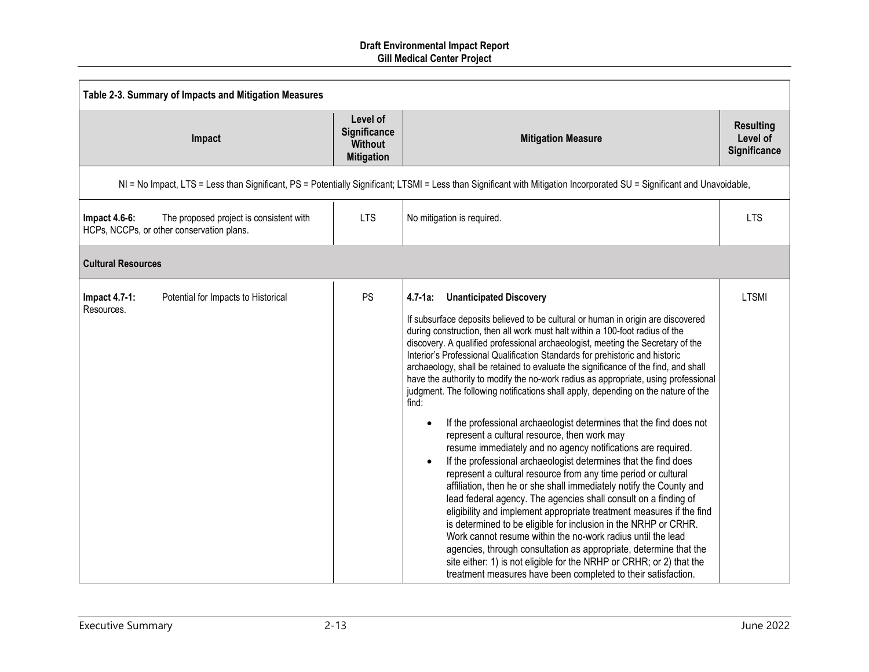|                                    | Table 2-3. Summary of Impacts and Mitigation Measures                                |                                                                 |                                                                                                                                                                                                                                                                                                                                                                                                                                                                                                                                                                                                                                                                                                                                                                                                                                                                                                                                                                                                                                                                                                                                                                                                                                                                                                                                                                                                                                                                                                                                                               |                                                     |  |
|------------------------------------|--------------------------------------------------------------------------------------|-----------------------------------------------------------------|---------------------------------------------------------------------------------------------------------------------------------------------------------------------------------------------------------------------------------------------------------------------------------------------------------------------------------------------------------------------------------------------------------------------------------------------------------------------------------------------------------------------------------------------------------------------------------------------------------------------------------------------------------------------------------------------------------------------------------------------------------------------------------------------------------------------------------------------------------------------------------------------------------------------------------------------------------------------------------------------------------------------------------------------------------------------------------------------------------------------------------------------------------------------------------------------------------------------------------------------------------------------------------------------------------------------------------------------------------------------------------------------------------------------------------------------------------------------------------------------------------------------------------------------------------------|-----------------------------------------------------|--|
|                                    | Impact                                                                               | Level of<br>Significance<br><b>Without</b><br><b>Mitigation</b> | <b>Mitigation Measure</b>                                                                                                                                                                                                                                                                                                                                                                                                                                                                                                                                                                                                                                                                                                                                                                                                                                                                                                                                                                                                                                                                                                                                                                                                                                                                                                                                                                                                                                                                                                                                     | <b>Resulting</b><br>Level of<br><b>Significance</b> |  |
|                                    |                                                                                      |                                                                 | NI = No Impact, LTS = Less than Significant, PS = Potentially Significant; LTSMI = Less than Significant with Mitigation Incorporated SU = Significant and Unavoidable,                                                                                                                                                                                                                                                                                                                                                                                                                                                                                                                                                                                                                                                                                                                                                                                                                                                                                                                                                                                                                                                                                                                                                                                                                                                                                                                                                                                       |                                                     |  |
| Impact $4.6-6$ :                   | The proposed project is consistent with<br>HCPs, NCCPs, or other conservation plans. | <b>LTS</b>                                                      | No mitigation is required.                                                                                                                                                                                                                                                                                                                                                                                                                                                                                                                                                                                                                                                                                                                                                                                                                                                                                                                                                                                                                                                                                                                                                                                                                                                                                                                                                                                                                                                                                                                                    | <b>LTS</b>                                          |  |
| <b>Cultural Resources</b>          |                                                                                      |                                                                 |                                                                                                                                                                                                                                                                                                                                                                                                                                                                                                                                                                                                                                                                                                                                                                                                                                                                                                                                                                                                                                                                                                                                                                                                                                                                                                                                                                                                                                                                                                                                                               |                                                     |  |
| <b>Impact 4.7-1:</b><br>Resources. | Potential for Impacts to Historical                                                  | <b>PS</b>                                                       | $4.7 - 1a$ :<br><b>Unanticipated Discovery</b><br>If subsurface deposits believed to be cultural or human in origin are discovered<br>during construction, then all work must halt within a 100-foot radius of the<br>discovery. A qualified professional archaeologist, meeting the Secretary of the<br>Interior's Professional Qualification Standards for prehistoric and historic<br>archaeology, shall be retained to evaluate the significance of the find, and shall<br>have the authority to modify the no-work radius as appropriate, using professional<br>judgment. The following notifications shall apply, depending on the nature of the<br>find:<br>If the professional archaeologist determines that the find does not<br>represent a cultural resource, then work may<br>resume immediately and no agency notifications are required.<br>If the professional archaeologist determines that the find does<br>represent a cultural resource from any time period or cultural<br>affiliation, then he or she shall immediately notify the County and<br>lead federal agency. The agencies shall consult on a finding of<br>eligibility and implement appropriate treatment measures if the find<br>is determined to be eligible for inclusion in the NRHP or CRHR.<br>Work cannot resume within the no-work radius until the lead<br>agencies, through consultation as appropriate, determine that the<br>site either: 1) is not eligible for the NRHP or CRHR; or 2) that the<br>treatment measures have been completed to their satisfaction. | <b>LTSMI</b>                                        |  |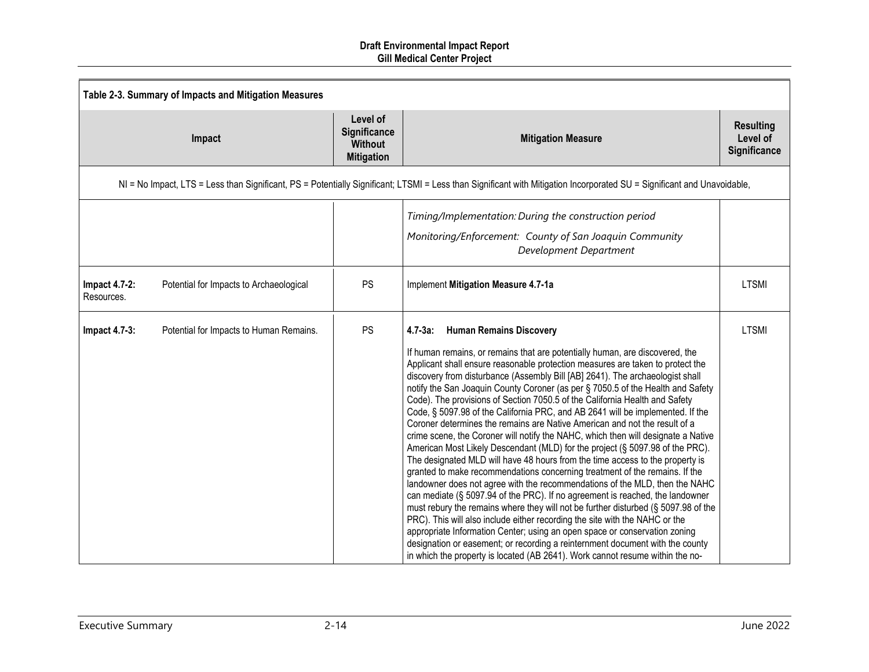|                             | Table 2-3. Summary of Impacts and Mitigation Measures |                                                                 |                                                                                                                                                                                                                                                                                                                                                                                                                                                                                                                                                                                                                                                                                                                                                                                                                                                                                                                                                                                                                                                                                                                                                                                                                                                                                                                                                                                                                                                                                                                                                                |                                              |  |
|-----------------------------|-------------------------------------------------------|-----------------------------------------------------------------|----------------------------------------------------------------------------------------------------------------------------------------------------------------------------------------------------------------------------------------------------------------------------------------------------------------------------------------------------------------------------------------------------------------------------------------------------------------------------------------------------------------------------------------------------------------------------------------------------------------------------------------------------------------------------------------------------------------------------------------------------------------------------------------------------------------------------------------------------------------------------------------------------------------------------------------------------------------------------------------------------------------------------------------------------------------------------------------------------------------------------------------------------------------------------------------------------------------------------------------------------------------------------------------------------------------------------------------------------------------------------------------------------------------------------------------------------------------------------------------------------------------------------------------------------------------|----------------------------------------------|--|
|                             | Impact                                                | Level of<br>Significance<br><b>Without</b><br><b>Mitigation</b> | <b>Mitigation Measure</b>                                                                                                                                                                                                                                                                                                                                                                                                                                                                                                                                                                                                                                                                                                                                                                                                                                                                                                                                                                                                                                                                                                                                                                                                                                                                                                                                                                                                                                                                                                                                      | <b>Resulting</b><br>Level of<br>Significance |  |
|                             |                                                       |                                                                 | NI = No Impact, LTS = Less than Significant, PS = Potentially Significant; LTSMI = Less than Significant with Mitigation Incorporated SU = Significant and Unavoidable,                                                                                                                                                                                                                                                                                                                                                                                                                                                                                                                                                                                                                                                                                                                                                                                                                                                                                                                                                                                                                                                                                                                                                                                                                                                                                                                                                                                        |                                              |  |
|                             |                                                       |                                                                 | Timing/Implementation: During the construction period<br>Monitoring/Enforcement: County of San Joaquin Community<br>Development Department                                                                                                                                                                                                                                                                                                                                                                                                                                                                                                                                                                                                                                                                                                                                                                                                                                                                                                                                                                                                                                                                                                                                                                                                                                                                                                                                                                                                                     |                                              |  |
| Impact 4.7-2:<br>Resources. | Potential for Impacts to Archaeological               | PS                                                              | Implement Mitigation Measure 4.7-1a                                                                                                                                                                                                                                                                                                                                                                                                                                                                                                                                                                                                                                                                                                                                                                                                                                                                                                                                                                                                                                                                                                                                                                                                                                                                                                                                                                                                                                                                                                                            | <b>LTSMI</b>                                 |  |
| <b>Impact 4.7-3:</b>        | Potential for Impacts to Human Remains.               | <b>PS</b>                                                       | <b>Human Remains Discovery</b><br>$4.7 - 3a$ :<br>If human remains, or remains that are potentially human, are discovered, the<br>Applicant shall ensure reasonable protection measures are taken to protect the<br>discovery from disturbance (Assembly Bill [AB] 2641). The archaeologist shall<br>notify the San Joaquin County Coroner (as per § 7050.5 of the Health and Safety<br>Code). The provisions of Section 7050.5 of the California Health and Safety<br>Code, § 5097.98 of the California PRC, and AB 2641 will be implemented. If the<br>Coroner determines the remains are Native American and not the result of a<br>crime scene, the Coroner will notify the NAHC, which then will designate a Native<br>American Most Likely Descendant (MLD) for the project (§ 5097.98 of the PRC).<br>The designated MLD will have 48 hours from the time access to the property is<br>granted to make recommendations concerning treatment of the remains. If the<br>landowner does not agree with the recommendations of the MLD, then the NAHC<br>can mediate (§ 5097.94 of the PRC). If no agreement is reached, the landowner<br>must rebury the remains where they will not be further disturbed (§ 5097.98 of the<br>PRC). This will also include either recording the site with the NAHC or the<br>appropriate Information Center; using an open space or conservation zoning<br>designation or easement; or recording a reinternment document with the county<br>in which the property is located (AB 2641). Work cannot resume within the no- | <b>LTSMI</b>                                 |  |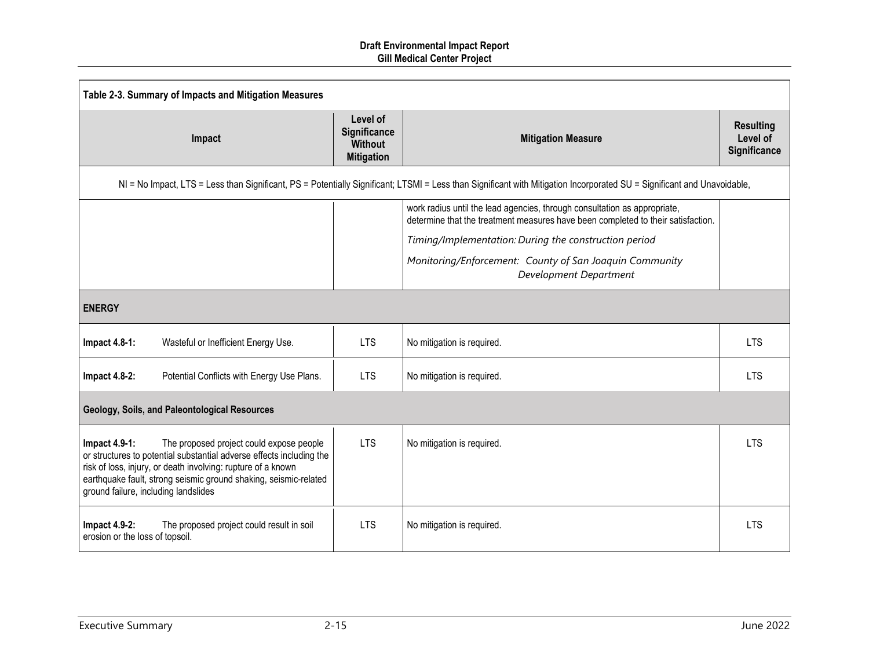| Table 2-3. Summary of Impacts and Mitigation Measures                                                                                                                                                                                                                                                            |                                                                 |                                                                                                                                                                         |                                              |  |  |
|------------------------------------------------------------------------------------------------------------------------------------------------------------------------------------------------------------------------------------------------------------------------------------------------------------------|-----------------------------------------------------------------|-------------------------------------------------------------------------------------------------------------------------------------------------------------------------|----------------------------------------------|--|--|
| Impact                                                                                                                                                                                                                                                                                                           | Level of<br>Significance<br><b>Without</b><br><b>Mitigation</b> | <b>Mitigation Measure</b>                                                                                                                                               | <b>Resulting</b><br>Level of<br>Significance |  |  |
|                                                                                                                                                                                                                                                                                                                  |                                                                 | NI = No Impact, LTS = Less than Significant, PS = Potentially Significant; LTSMI = Less than Significant with Mitigation Incorporated SU = Significant and Unavoidable, |                                              |  |  |
|                                                                                                                                                                                                                                                                                                                  |                                                                 | work radius until the lead agencies, through consultation as appropriate,<br>determine that the treatment measures have been completed to their satisfaction.           |                                              |  |  |
|                                                                                                                                                                                                                                                                                                                  |                                                                 | Timing/Implementation: During the construction period                                                                                                                   |                                              |  |  |
|                                                                                                                                                                                                                                                                                                                  |                                                                 | Monitoring/Enforcement: County of San Joaquin Community<br>Development Department                                                                                       |                                              |  |  |
| <b>ENERGY</b>                                                                                                                                                                                                                                                                                                    |                                                                 |                                                                                                                                                                         |                                              |  |  |
| Impact 4.8-1:<br>Wasteful or Inefficient Energy Use.                                                                                                                                                                                                                                                             | <b>LTS</b>                                                      | No mitigation is required.                                                                                                                                              | <b>LTS</b>                                   |  |  |
| <b>Impact 4.8-2:</b><br>Potential Conflicts with Energy Use Plans.                                                                                                                                                                                                                                               | <b>LTS</b>                                                      | No mitigation is required.                                                                                                                                              | <b>LTS</b>                                   |  |  |
| Geology, Soils, and Paleontological Resources                                                                                                                                                                                                                                                                    |                                                                 |                                                                                                                                                                         |                                              |  |  |
| The proposed project could expose people<br>Impact $4.9-1$ :<br>or structures to potential substantial adverse effects including the<br>risk of loss, injury, or death involving: rupture of a known<br>earthquake fault, strong seismic ground shaking, seismic-related<br>ground failure, including landslides | <b>LTS</b>                                                      | No mitigation is required.                                                                                                                                              | <b>LTS</b>                                   |  |  |
| <b>Impact 4.9-2:</b><br>The proposed project could result in soil<br>erosion or the loss of topsoil.                                                                                                                                                                                                             | <b>LTS</b>                                                      | No mitigation is required.                                                                                                                                              | <b>LTS</b>                                   |  |  |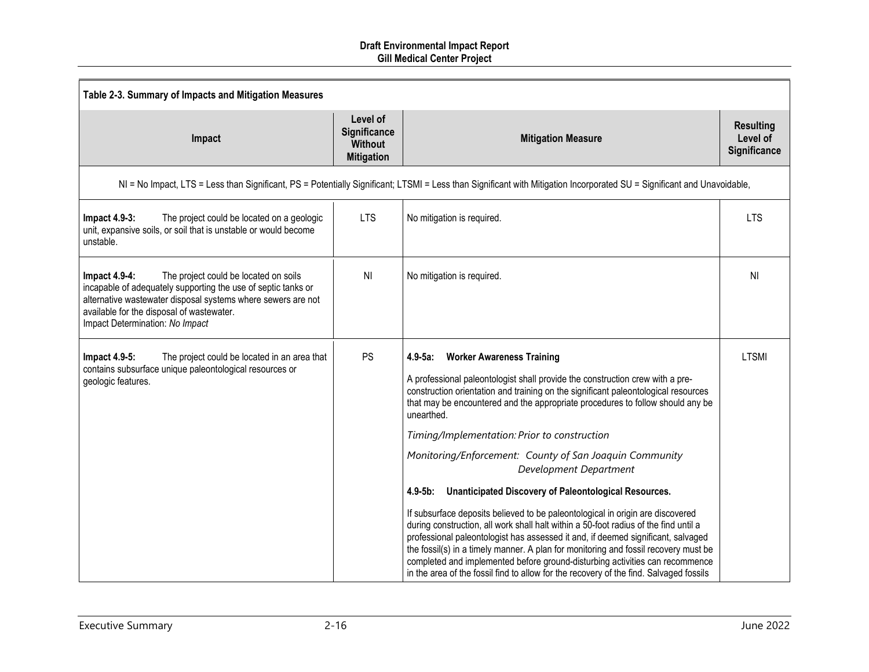| Table 2-3. Summary of Impacts and Mitigation Measures                                                                                                                                                                                                                      |                                                                 |                                                                                                                                                                                                                                                                                                                                                                                                                                                                                                                                                                                                                                                                                                                                                                                                                                                                                                                                                                                                                                                                      |                                                     |  |
|----------------------------------------------------------------------------------------------------------------------------------------------------------------------------------------------------------------------------------------------------------------------------|-----------------------------------------------------------------|----------------------------------------------------------------------------------------------------------------------------------------------------------------------------------------------------------------------------------------------------------------------------------------------------------------------------------------------------------------------------------------------------------------------------------------------------------------------------------------------------------------------------------------------------------------------------------------------------------------------------------------------------------------------------------------------------------------------------------------------------------------------------------------------------------------------------------------------------------------------------------------------------------------------------------------------------------------------------------------------------------------------------------------------------------------------|-----------------------------------------------------|--|
| Impact                                                                                                                                                                                                                                                                     | Level of<br>Significance<br><b>Without</b><br><b>Mitigation</b> | <b>Mitigation Measure</b>                                                                                                                                                                                                                                                                                                                                                                                                                                                                                                                                                                                                                                                                                                                                                                                                                                                                                                                                                                                                                                            | <b>Resulting</b><br>Level of<br><b>Significance</b> |  |
|                                                                                                                                                                                                                                                                            |                                                                 | NI = No Impact, LTS = Less than Significant, PS = Potentially Significant; LTSMI = Less than Significant with Mitigation Incorporated SU = Significant and Unavoidable,                                                                                                                                                                                                                                                                                                                                                                                                                                                                                                                                                                                                                                                                                                                                                                                                                                                                                              |                                                     |  |
| <b>Impact 4.9-3:</b><br>The project could be located on a geologic<br>unit, expansive soils, or soil that is unstable or would become<br>unstable.                                                                                                                         | <b>LTS</b>                                                      | No mitigation is required.                                                                                                                                                                                                                                                                                                                                                                                                                                                                                                                                                                                                                                                                                                                                                                                                                                                                                                                                                                                                                                           | <b>LTS</b>                                          |  |
| Impact $4.9-4$ :<br>The project could be located on soils<br>incapable of adequately supporting the use of septic tanks or<br>alternative wastewater disposal systems where sewers are not<br>available for the disposal of wastewater.<br>Impact Determination: No Impact | N <sub>l</sub>                                                  | No mitigation is required.                                                                                                                                                                                                                                                                                                                                                                                                                                                                                                                                                                                                                                                                                                                                                                                                                                                                                                                                                                                                                                           | NI                                                  |  |
| Impact 4.9-5:<br>The project could be located in an area that<br>contains subsurface unique paleontological resources or<br>geologic features.                                                                                                                             | PS                                                              | $4.9 - 5a$ :<br><b>Worker Awareness Training</b><br>A professional paleontologist shall provide the construction crew with a pre-<br>construction orientation and training on the significant paleontological resources<br>that may be encountered and the appropriate procedures to follow should any be<br>unearthed.<br>Timing/Implementation: Prior to construction<br>Monitoring/Enforcement: County of San Joaquin Community<br>Development Department<br>Unanticipated Discovery of Paleontological Resources.<br>$4.9 - 5b$ :<br>If subsurface deposits believed to be paleontological in origin are discovered<br>during construction, all work shall halt within a 50-foot radius of the find until a<br>professional paleontologist has assessed it and, if deemed significant, salvaged<br>the fossil(s) in a timely manner. A plan for monitoring and fossil recovery must be<br>completed and implemented before ground-disturbing activities can recommence<br>in the area of the fossil find to allow for the recovery of the find. Salvaged fossils | <b>LTSMI</b>                                        |  |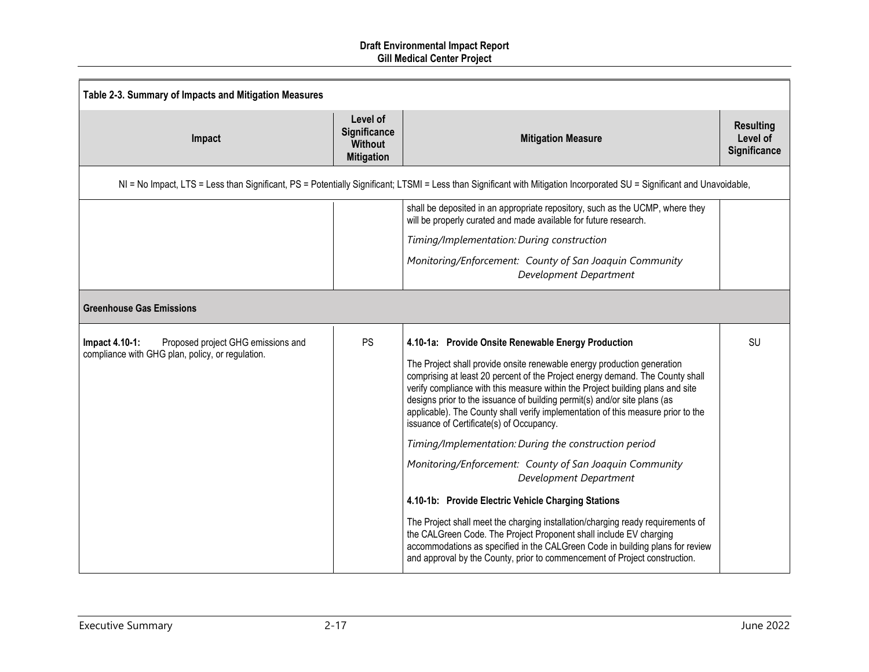| Table 2-3. Summary of Impacts and Mitigation Measures                                                                                                                   |                                                                 |                                                                                                                                                                                                                                                                                                                                                                                                                                                                                                                                                                                                                                                                                                                                                                                                                                                                                                                                                                                                                                             |                                              |  |
|-------------------------------------------------------------------------------------------------------------------------------------------------------------------------|-----------------------------------------------------------------|---------------------------------------------------------------------------------------------------------------------------------------------------------------------------------------------------------------------------------------------------------------------------------------------------------------------------------------------------------------------------------------------------------------------------------------------------------------------------------------------------------------------------------------------------------------------------------------------------------------------------------------------------------------------------------------------------------------------------------------------------------------------------------------------------------------------------------------------------------------------------------------------------------------------------------------------------------------------------------------------------------------------------------------------|----------------------------------------------|--|
| Impact                                                                                                                                                                  | Level of<br>Significance<br><b>Without</b><br><b>Mitigation</b> | <b>Mitigation Measure</b>                                                                                                                                                                                                                                                                                                                                                                                                                                                                                                                                                                                                                                                                                                                                                                                                                                                                                                                                                                                                                   | <b>Resulting</b><br>Level of<br>Significance |  |
| NI = No Impact, LTS = Less than Significant, PS = Potentially Significant; LTSMI = Less than Significant with Mitigation Incorporated SU = Significant and Unavoidable, |                                                                 |                                                                                                                                                                                                                                                                                                                                                                                                                                                                                                                                                                                                                                                                                                                                                                                                                                                                                                                                                                                                                                             |                                              |  |
|                                                                                                                                                                         |                                                                 | shall be deposited in an appropriate repository, such as the UCMP, where they<br>will be properly curated and made available for future research.                                                                                                                                                                                                                                                                                                                                                                                                                                                                                                                                                                                                                                                                                                                                                                                                                                                                                           |                                              |  |
|                                                                                                                                                                         |                                                                 | Timing/Implementation: During construction                                                                                                                                                                                                                                                                                                                                                                                                                                                                                                                                                                                                                                                                                                                                                                                                                                                                                                                                                                                                  |                                              |  |
|                                                                                                                                                                         |                                                                 | Monitoring/Enforcement: County of San Joaquin Community<br>Development Department                                                                                                                                                                                                                                                                                                                                                                                                                                                                                                                                                                                                                                                                                                                                                                                                                                                                                                                                                           |                                              |  |
| <b>Greenhouse Gas Emissions</b>                                                                                                                                         |                                                                 |                                                                                                                                                                                                                                                                                                                                                                                                                                                                                                                                                                                                                                                                                                                                                                                                                                                                                                                                                                                                                                             |                                              |  |
| Impact 4.10-1:<br>Proposed project GHG emissions and<br>compliance with GHG plan, policy, or regulation.                                                                | <b>PS</b>                                                       | 4.10-1a: Provide Onsite Renewable Energy Production<br>The Project shall provide onsite renewable energy production generation<br>comprising at least 20 percent of the Project energy demand. The County shall<br>verify compliance with this measure within the Project building plans and site<br>designs prior to the issuance of building permit(s) and/or site plans (as<br>applicable). The County shall verify implementation of this measure prior to the<br>issuance of Certificate(s) of Occupancy.<br>Timing/Implementation: During the construction period<br>Monitoring/Enforcement: County of San Joaquin Community<br>Development Department<br>4.10-1b: Provide Electric Vehicle Charging Stations<br>The Project shall meet the charging installation/charging ready requirements of<br>the CALGreen Code. The Project Proponent shall include EV charging<br>accommodations as specified in the CALGreen Code in building plans for review<br>and approval by the County, prior to commencement of Project construction. | SU                                           |  |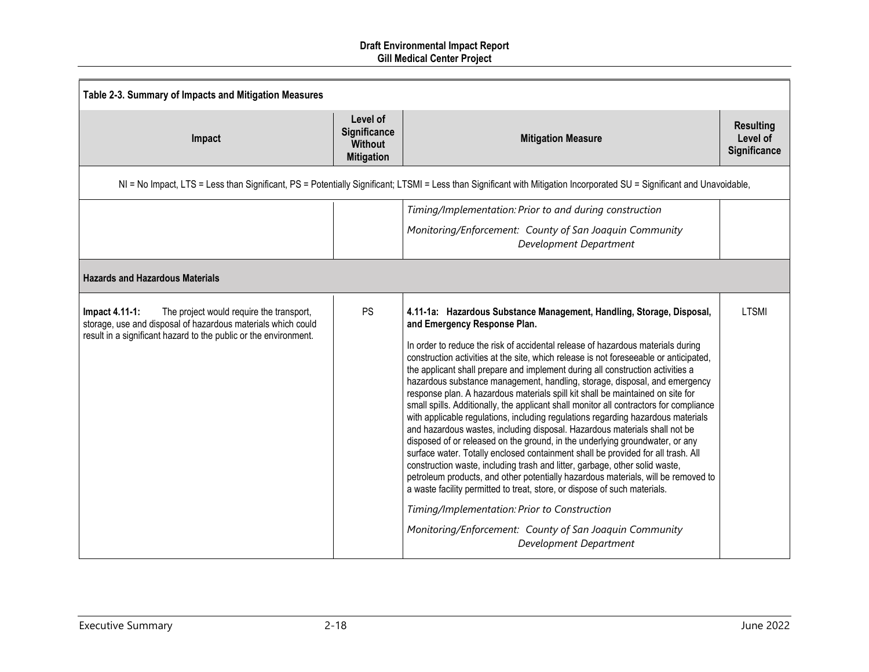| Table 2-3. Summary of Impacts and Mitigation Measures                                                                                                                                          |                                                                 |                                                                                                                                                                                                                                                                                                                                                                                                                                                                                                                                                                                                                                                                                                                                                                                                                                                                                                                                                                                                                                                                                                                                                                                                                                                                                                                                                           |                                              |  |
|------------------------------------------------------------------------------------------------------------------------------------------------------------------------------------------------|-----------------------------------------------------------------|-----------------------------------------------------------------------------------------------------------------------------------------------------------------------------------------------------------------------------------------------------------------------------------------------------------------------------------------------------------------------------------------------------------------------------------------------------------------------------------------------------------------------------------------------------------------------------------------------------------------------------------------------------------------------------------------------------------------------------------------------------------------------------------------------------------------------------------------------------------------------------------------------------------------------------------------------------------------------------------------------------------------------------------------------------------------------------------------------------------------------------------------------------------------------------------------------------------------------------------------------------------------------------------------------------------------------------------------------------------|----------------------------------------------|--|
| Impact                                                                                                                                                                                         | Level of<br>Significance<br><b>Without</b><br><b>Mitigation</b> | <b>Mitigation Measure</b>                                                                                                                                                                                                                                                                                                                                                                                                                                                                                                                                                                                                                                                                                                                                                                                                                                                                                                                                                                                                                                                                                                                                                                                                                                                                                                                                 | <b>Resulting</b><br>Level of<br>Significance |  |
|                                                                                                                                                                                                |                                                                 | NI = No Impact, LTS = Less than Significant, PS = Potentially Significant; LTSMI = Less than Significant with Mitigation Incorporated SU = Significant and Unavoidable,                                                                                                                                                                                                                                                                                                                                                                                                                                                                                                                                                                                                                                                                                                                                                                                                                                                                                                                                                                                                                                                                                                                                                                                   |                                              |  |
| <b>Hazards and Hazardous Materials</b>                                                                                                                                                         |                                                                 | Timing/Implementation: Prior to and during construction<br>Monitoring/Enforcement: County of San Joaquin Community<br>Development Department                                                                                                                                                                                                                                                                                                                                                                                                                                                                                                                                                                                                                                                                                                                                                                                                                                                                                                                                                                                                                                                                                                                                                                                                              |                                              |  |
| Impact 4.11-1:<br>The project would require the transport,<br>storage, use and disposal of hazardous materials which could<br>result in a significant hazard to the public or the environment. | <b>PS</b>                                                       | 4.11-1a: Hazardous Substance Management, Handling, Storage, Disposal,<br>and Emergency Response Plan.<br>In order to reduce the risk of accidental release of hazardous materials during<br>construction activities at the site, which release is not foreseeable or anticipated,<br>the applicant shall prepare and implement during all construction activities a<br>hazardous substance management, handling, storage, disposal, and emergency<br>response plan. A hazardous materials spill kit shall be maintained on site for<br>small spills. Additionally, the applicant shall monitor all contractors for compliance<br>with applicable regulations, including regulations regarding hazardous materials<br>and hazardous wastes, including disposal. Hazardous materials shall not be<br>disposed of or released on the ground, in the underlying groundwater, or any<br>surface water. Totally enclosed containment shall be provided for all trash. All<br>construction waste, including trash and litter, garbage, other solid waste,<br>petroleum products, and other potentially hazardous materials, will be removed to<br>a waste facility permitted to treat, store, or dispose of such materials.<br>Timing/Implementation: Prior to Construction<br>Monitoring/Enforcement: County of San Joaquin Community<br>Development Department | <b>LTSMI</b>                                 |  |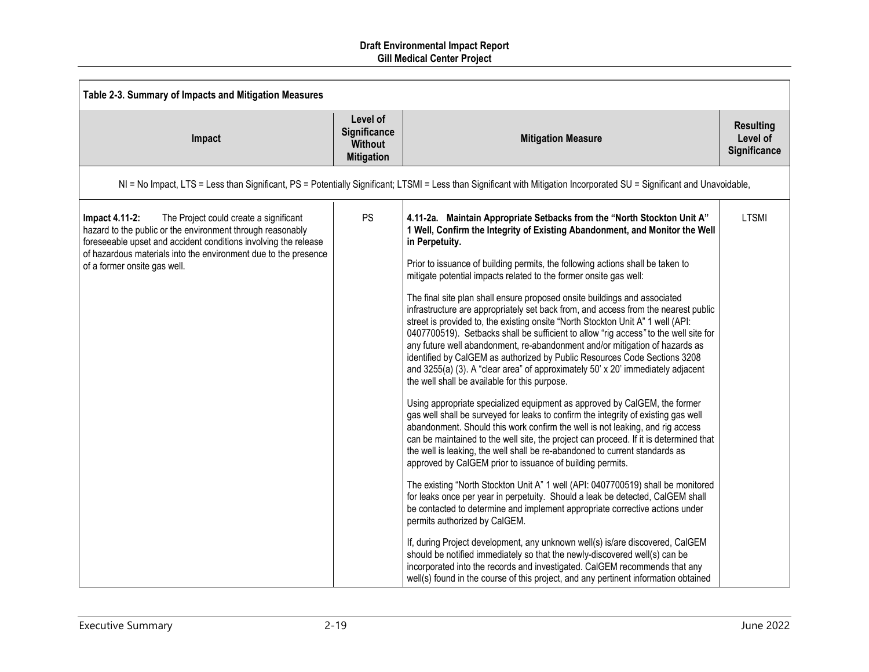| Table 2-3. Summary of Impacts and Mitigation Measures                                                                                                                                                                                                                                        |                                                                 |                                                                                                                                                                                                                                                                                                                                                                                                                                                                                                                                                                                                                                                                                                                                                                                                                                                                                                                                                                                                                                                                                                                                                                                                                                                                                                                                                                                                                                                                                                                                                                                                                                                                                                                                                                                                                                                                                                                                                                                                                                                                                                   |                                              |  |
|----------------------------------------------------------------------------------------------------------------------------------------------------------------------------------------------------------------------------------------------------------------------------------------------|-----------------------------------------------------------------|---------------------------------------------------------------------------------------------------------------------------------------------------------------------------------------------------------------------------------------------------------------------------------------------------------------------------------------------------------------------------------------------------------------------------------------------------------------------------------------------------------------------------------------------------------------------------------------------------------------------------------------------------------------------------------------------------------------------------------------------------------------------------------------------------------------------------------------------------------------------------------------------------------------------------------------------------------------------------------------------------------------------------------------------------------------------------------------------------------------------------------------------------------------------------------------------------------------------------------------------------------------------------------------------------------------------------------------------------------------------------------------------------------------------------------------------------------------------------------------------------------------------------------------------------------------------------------------------------------------------------------------------------------------------------------------------------------------------------------------------------------------------------------------------------------------------------------------------------------------------------------------------------------------------------------------------------------------------------------------------------------------------------------------------------------------------------------------------------|----------------------------------------------|--|
| Impact                                                                                                                                                                                                                                                                                       | Level of<br>Significance<br><b>Without</b><br><b>Mitigation</b> | <b>Mitigation Measure</b>                                                                                                                                                                                                                                                                                                                                                                                                                                                                                                                                                                                                                                                                                                                                                                                                                                                                                                                                                                                                                                                                                                                                                                                                                                                                                                                                                                                                                                                                                                                                                                                                                                                                                                                                                                                                                                                                                                                                                                                                                                                                         | <b>Resulting</b><br>Level of<br>Significance |  |
|                                                                                                                                                                                                                                                                                              |                                                                 | NI = No Impact, LTS = Less than Significant, PS = Potentially Significant; LTSMI = Less than Significant with Mitigation Incorporated SU = Significant and Unavoidable,                                                                                                                                                                                                                                                                                                                                                                                                                                                                                                                                                                                                                                                                                                                                                                                                                                                                                                                                                                                                                                                                                                                                                                                                                                                                                                                                                                                                                                                                                                                                                                                                                                                                                                                                                                                                                                                                                                                           |                                              |  |
| Impact 4.11-2:<br>The Project could create a significant<br>hazard to the public or the environment through reasonably<br>foreseeable upset and accident conditions involving the release<br>of hazardous materials into the environment due to the presence<br>of a former onsite gas well. | <b>PS</b>                                                       | 4.11-2a. Maintain Appropriate Setbacks from the "North Stockton Unit A"<br>1 Well, Confirm the Integrity of Existing Abandonment, and Monitor the Well<br>in Perpetuity.<br>Prior to issuance of building permits, the following actions shall be taken to<br>mitigate potential impacts related to the former onsite gas well:<br>The final site plan shall ensure proposed onsite buildings and associated<br>infrastructure are appropriately set back from, and access from the nearest public<br>street is provided to, the existing onsite "North Stockton Unit A" 1 well (API:<br>0407700519). Setbacks shall be sufficient to allow "rig access" to the well site for<br>any future well abandonment, re-abandonment and/or mitigation of hazards as<br>identified by CalGEM as authorized by Public Resources Code Sections 3208<br>and 3255(a) (3). A "clear area" of approximately 50' x 20' immediately adjacent<br>the well shall be available for this purpose.<br>Using appropriate specialized equipment as approved by CalGEM, the former<br>gas well shall be surveyed for leaks to confirm the integrity of existing gas well<br>abandonment. Should this work confirm the well is not leaking, and rig access<br>can be maintained to the well site, the project can proceed. If it is determined that<br>the well is leaking, the well shall be re-abandoned to current standards as<br>approved by CalGEM prior to issuance of building permits.<br>The existing "North Stockton Unit A" 1 well (API: 0407700519) shall be monitored<br>for leaks once per year in perpetuity. Should a leak be detected, CalGEM shall<br>be contacted to determine and implement appropriate corrective actions under<br>permits authorized by CalGEM.<br>If, during Project development, any unknown well(s) is/are discovered, CalGEM<br>should be notified immediately so that the newly-discovered well(s) can be<br>incorporated into the records and investigated. CalGEM recommends that any<br>well(s) found in the course of this project, and any pertinent information obtained | <b>LTSMI</b>                                 |  |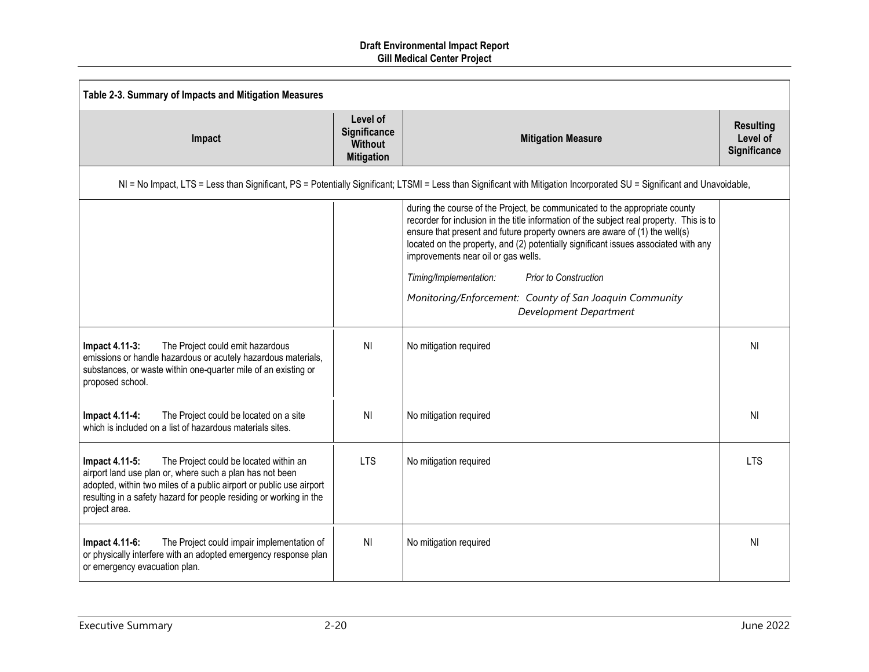| Table 2-3. Summary of Impacts and Mitigation Measures                                                                                                                                                                                                                              |                                                                 |                                                                                                                                                                                                                                                                                                                                                                                                                                                |                                              |  |
|------------------------------------------------------------------------------------------------------------------------------------------------------------------------------------------------------------------------------------------------------------------------------------|-----------------------------------------------------------------|------------------------------------------------------------------------------------------------------------------------------------------------------------------------------------------------------------------------------------------------------------------------------------------------------------------------------------------------------------------------------------------------------------------------------------------------|----------------------------------------------|--|
| Impact                                                                                                                                                                                                                                                                             | Level of<br>Significance<br><b>Without</b><br><b>Mitigation</b> | <b>Mitigation Measure</b>                                                                                                                                                                                                                                                                                                                                                                                                                      | <b>Resulting</b><br>Level of<br>Significance |  |
|                                                                                                                                                                                                                                                                                    |                                                                 | NI = No Impact, LTS = Less than Significant, PS = Potentially Significant; LTSMI = Less than Significant with Mitigation Incorporated SU = Significant and Unavoidable,                                                                                                                                                                                                                                                                        |                                              |  |
|                                                                                                                                                                                                                                                                                    |                                                                 | during the course of the Project, be communicated to the appropriate county<br>recorder for inclusion in the title information of the subject real property. This is to<br>ensure that present and future property owners are aware of (1) the well(s)<br>located on the property, and (2) potentially significant issues associated with any<br>improvements near oil or gas wells.<br>Timing/Implementation:<br><b>Prior to Construction</b> |                                              |  |
|                                                                                                                                                                                                                                                                                    |                                                                 | Monitoring/Enforcement: County of San Joaquin Community<br>Development Department                                                                                                                                                                                                                                                                                                                                                              |                                              |  |
| Impact 4.11-3:<br>The Project could emit hazardous<br>emissions or handle hazardous or acutely hazardous materials,<br>substances, or waste within one-quarter mile of an existing or<br>proposed school.                                                                          | N <sub>l</sub>                                                  | No mitigation required                                                                                                                                                                                                                                                                                                                                                                                                                         | ΝI                                           |  |
| The Project could be located on a site<br>Impact 4.11-4:<br>which is included on a list of hazardous materials sites.                                                                                                                                                              | N <sub>l</sub>                                                  | No mitigation required                                                                                                                                                                                                                                                                                                                                                                                                                         | NI                                           |  |
| Impact 4.11-5:<br>The Project could be located within an<br>airport land use plan or, where such a plan has not been<br>adopted, within two miles of a public airport or public use airport<br>resulting in a safety hazard for people residing or working in the<br>project area. | <b>LTS</b>                                                      | No mitigation required                                                                                                                                                                                                                                                                                                                                                                                                                         | <b>LTS</b>                                   |  |
| Impact 4.11-6:<br>The Project could impair implementation of<br>or physically interfere with an adopted emergency response plan<br>or emergency evacuation plan.                                                                                                                   | N <sub>l</sub>                                                  | No mitigation required                                                                                                                                                                                                                                                                                                                                                                                                                         | ΝI                                           |  |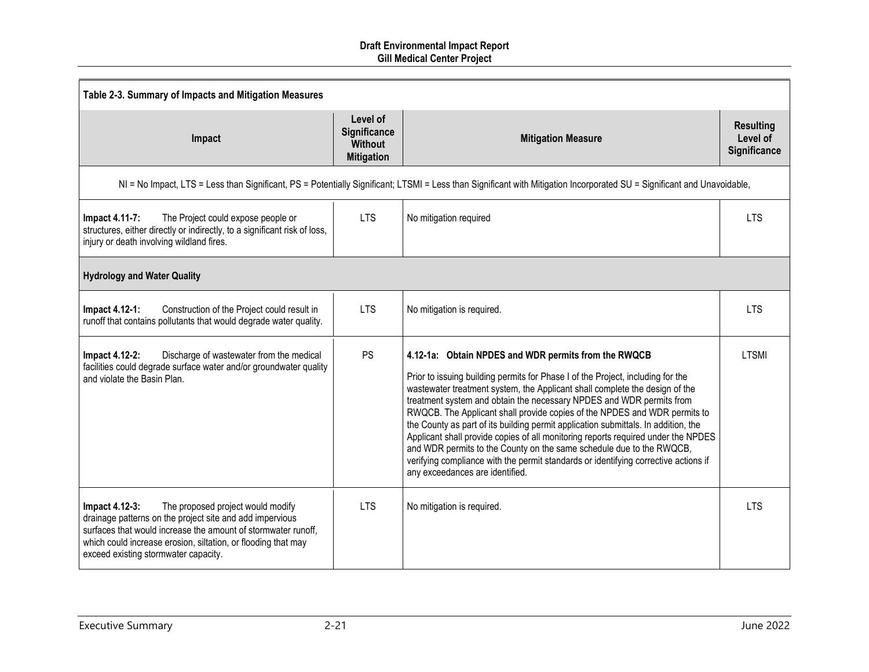| Table 2-3. Summary of Impacts and Mitigation Measures                                                                                                                                                                                                                                     |                                                                        |                                                                                                                                                                                                                                                                                                                                                                                                                                                                                                                                                                                                                                                                                                                                                          |                                              |  |
|-------------------------------------------------------------------------------------------------------------------------------------------------------------------------------------------------------------------------------------------------------------------------------------------|------------------------------------------------------------------------|----------------------------------------------------------------------------------------------------------------------------------------------------------------------------------------------------------------------------------------------------------------------------------------------------------------------------------------------------------------------------------------------------------------------------------------------------------------------------------------------------------------------------------------------------------------------------------------------------------------------------------------------------------------------------------------------------------------------------------------------------------|----------------------------------------------|--|
| Impact                                                                                                                                                                                                                                                                                    | Level of<br><b>Significance</b><br><b>Without</b><br><b>Mitigation</b> | <b>Mitigation Measure</b>                                                                                                                                                                                                                                                                                                                                                                                                                                                                                                                                                                                                                                                                                                                                | <b>Resulting</b><br>Level of<br>Significance |  |
|                                                                                                                                                                                                                                                                                           |                                                                        | NI = No Impact, LTS = Less than Significant, PS = Potentially Significant; LTSMI = Less than Significant with Mitigation Incorporated SU = Significant and Unavoidable,                                                                                                                                                                                                                                                                                                                                                                                                                                                                                                                                                                                  |                                              |  |
| The Project could expose people or<br>Impact 4.11-7:<br>structures, either directly or indirectly, to a significant risk of loss,<br>injury or death involving wildland fires.                                                                                                            | <b>LTS</b>                                                             | No mitigation required                                                                                                                                                                                                                                                                                                                                                                                                                                                                                                                                                                                                                                                                                                                                   | <b>LTS</b>                                   |  |
| <b>Hydrology and Water Quality</b>                                                                                                                                                                                                                                                        |                                                                        |                                                                                                                                                                                                                                                                                                                                                                                                                                                                                                                                                                                                                                                                                                                                                          |                                              |  |
| Impact 4.12-1:<br>Construction of the Project could result in<br>runoff that contains pollutants that would degrade water quality.                                                                                                                                                        | <b>LTS</b>                                                             | No mitigation is required.                                                                                                                                                                                                                                                                                                                                                                                                                                                                                                                                                                                                                                                                                                                               | <b>LTS</b>                                   |  |
| Discharge of wastewater from the medical<br>Impact 4.12-2:<br>facilities could degrade surface water and/or groundwater quality<br>and violate the Basin Plan.                                                                                                                            | <b>PS</b>                                                              | 4.12-1a: Obtain NPDES and WDR permits from the RWQCB<br>Prior to issuing building permits for Phase I of the Project, including for the<br>wastewater treatment system, the Applicant shall complete the design of the<br>treatment system and obtain the necessary NPDES and WDR permits from<br>RWQCB. The Applicant shall provide copies of the NPDES and WDR permits to<br>the County as part of its building permit application submittals. In addition, the<br>Applicant shall provide copies of all monitoring reports required under the NPDES<br>and WDR permits to the County on the same schedule due to the RWQCB,<br>verifying compliance with the permit standards or identifying corrective actions if<br>any exceedances are identified. | <b>LTSMI</b>                                 |  |
| The proposed project would modify<br>Impact 4.12-3:<br>drainage patterns on the project site and add impervious<br>surfaces that would increase the amount of stormwater runoff,<br>which could increase erosion, siltation, or flooding that may<br>exceed existing stormwater capacity. | <b>LTS</b>                                                             | No mitigation is required.                                                                                                                                                                                                                                                                                                                                                                                                                                                                                                                                                                                                                                                                                                                               | <b>LTS</b>                                   |  |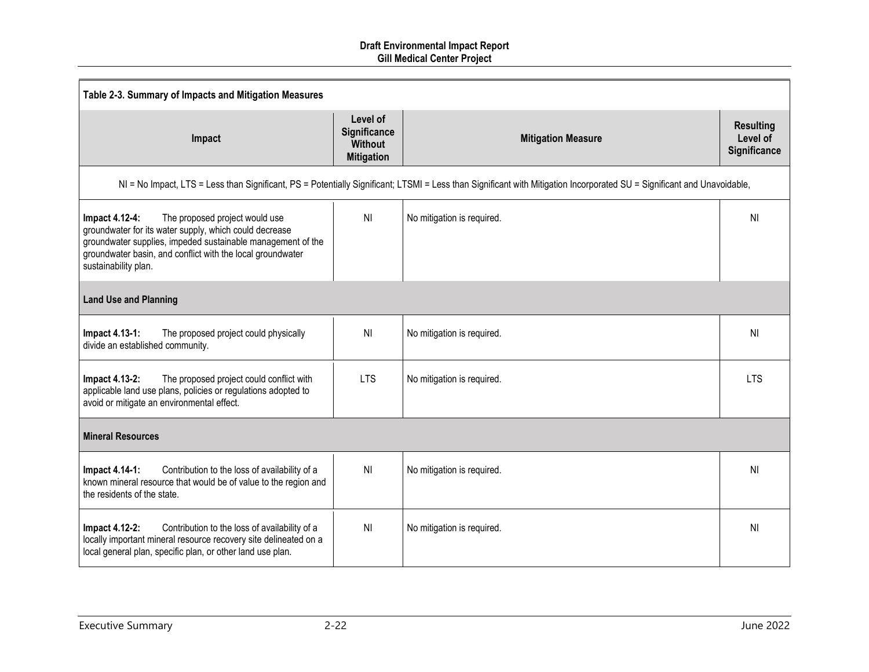| Table 2-3. Summary of Impacts and Mitigation Measures                                                                                                                                                                                                           |                                                                 |                                                                                                                                                                         |                                              |  |
|-----------------------------------------------------------------------------------------------------------------------------------------------------------------------------------------------------------------------------------------------------------------|-----------------------------------------------------------------|-------------------------------------------------------------------------------------------------------------------------------------------------------------------------|----------------------------------------------|--|
| Impact                                                                                                                                                                                                                                                          | Level of<br>Significance<br><b>Without</b><br><b>Mitigation</b> | <b>Mitigation Measure</b>                                                                                                                                               | <b>Resulting</b><br>Level of<br>Significance |  |
|                                                                                                                                                                                                                                                                 |                                                                 | NI = No Impact, LTS = Less than Significant, PS = Potentially Significant; LTSMI = Less than Significant with Mitigation Incorporated SU = Significant and Unavoidable, |                                              |  |
| The proposed project would use<br>Impact 4.12-4:<br>groundwater for its water supply, which could decrease<br>groundwater supplies, impeded sustainable management of the<br>groundwater basin, and conflict with the local groundwater<br>sustainability plan. | N <sub>l</sub>                                                  | No mitigation is required.                                                                                                                                              | ΝI                                           |  |
| <b>Land Use and Planning</b>                                                                                                                                                                                                                                    |                                                                 |                                                                                                                                                                         |                                              |  |
| Impact 4.13-1:<br>The proposed project could physically<br>divide an established community.                                                                                                                                                                     | NI                                                              | No mitigation is required.                                                                                                                                              | N <sub>l</sub>                               |  |
| The proposed project could conflict with<br>Impact 4.13-2:<br>applicable land use plans, policies or regulations adopted to<br>avoid or mitigate an environmental effect.                                                                                       | <b>LTS</b>                                                      | No mitigation is required.                                                                                                                                              | <b>LTS</b>                                   |  |
| <b>Mineral Resources</b>                                                                                                                                                                                                                                        |                                                                 |                                                                                                                                                                         |                                              |  |
| Contribution to the loss of availability of a<br>Impact 4.14-1:<br>known mineral resource that would be of value to the region and<br>the residents of the state.                                                                                               | N <sub>l</sub>                                                  | No mitigation is required.                                                                                                                                              | N <sub>l</sub>                               |  |
| Contribution to the loss of availability of a<br>Impact 4.12-2:<br>locally important mineral resource recovery site delineated on a<br>local general plan, specific plan, or other land use plan.                                                               | N <sub>l</sub>                                                  | No mitigation is required.                                                                                                                                              | N <sub>l</sub>                               |  |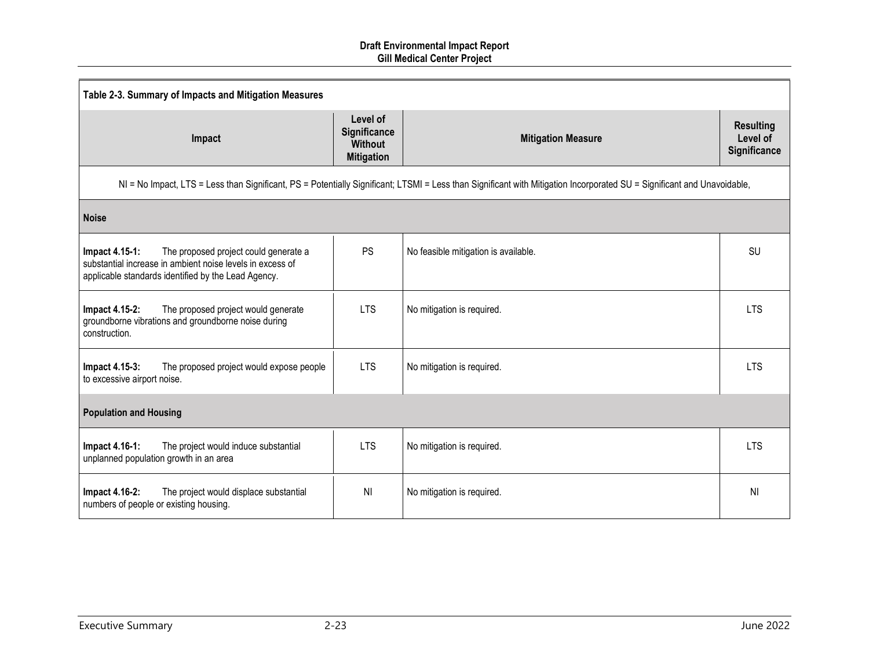| Table 2-3. Summary of Impacts and Mitigation Measures                                                                                                                       |                                                                 |                                                                                                                                                                         |                                              |  |
|-----------------------------------------------------------------------------------------------------------------------------------------------------------------------------|-----------------------------------------------------------------|-------------------------------------------------------------------------------------------------------------------------------------------------------------------------|----------------------------------------------|--|
| Impact                                                                                                                                                                      | Level of<br>Significance<br><b>Without</b><br><b>Mitigation</b> | <b>Mitigation Measure</b>                                                                                                                                               | <b>Resulting</b><br>Level of<br>Significance |  |
|                                                                                                                                                                             |                                                                 | NI = No Impact, LTS = Less than Significant, PS = Potentially Significant; LTSMI = Less than Significant with Mitigation Incorporated SU = Significant and Unavoidable, |                                              |  |
| <b>Noise</b>                                                                                                                                                                |                                                                 |                                                                                                                                                                         |                                              |  |
| The proposed project could generate a<br>Impact 4.15-1:<br>substantial increase in ambient noise levels in excess of<br>applicable standards identified by the Lead Agency. | <b>PS</b>                                                       | No feasible mitigation is available.                                                                                                                                    | <b>SU</b>                                    |  |
| The proposed project would generate<br>Impact 4.15-2:<br>groundborne vibrations and groundborne noise during<br>construction.                                               | <b>LTS</b>                                                      | No mitigation is required.                                                                                                                                              | <b>LTS</b>                                   |  |
| Impact 4.15-3:<br>The proposed project would expose people<br>to excessive airport noise.                                                                                   | <b>LTS</b>                                                      | No mitigation is required.                                                                                                                                              | <b>LTS</b>                                   |  |
| <b>Population and Housing</b>                                                                                                                                               |                                                                 |                                                                                                                                                                         |                                              |  |
| Impact 4.16-1:<br>The project would induce substantial<br>unplanned population growth in an area                                                                            | <b>LTS</b>                                                      | No mitigation is required.                                                                                                                                              | <b>LTS</b>                                   |  |
| Impact 4.16-2:<br>The project would displace substantial<br>numbers of people or existing housing.                                                                          | N <sub>l</sub>                                                  | No mitigation is required.                                                                                                                                              | N <sub>l</sub>                               |  |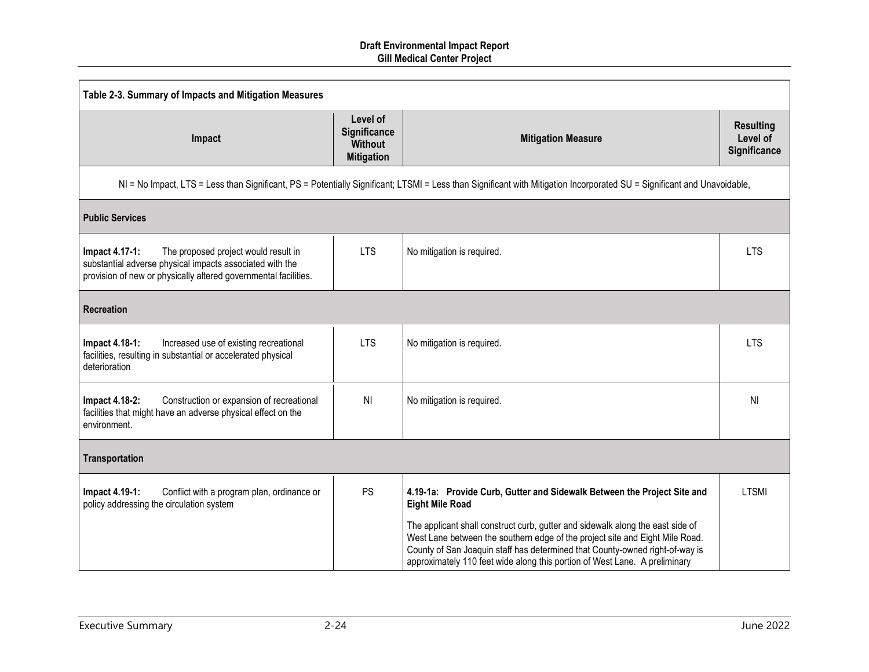| Table 2-3. Summary of Impacts and Mitigation Measures                                                                                                                                        |                                                                 |                                                                                                                                                                                                                                                                                                                              |                                                     |  |
|----------------------------------------------------------------------------------------------------------------------------------------------------------------------------------------------|-----------------------------------------------------------------|------------------------------------------------------------------------------------------------------------------------------------------------------------------------------------------------------------------------------------------------------------------------------------------------------------------------------|-----------------------------------------------------|--|
| Impact                                                                                                                                                                                       | Level of<br>Significance<br><b>Without</b><br><b>Mitigation</b> | <b>Mitigation Measure</b>                                                                                                                                                                                                                                                                                                    | <b>Resulting</b><br>Level of<br><b>Significance</b> |  |
|                                                                                                                                                                                              |                                                                 | NI = No Impact, LTS = Less than Significant, PS = Potentially Significant; LTSMI = Less than Significant with Mitigation Incorporated SU = Significant and Unavoidable,                                                                                                                                                      |                                                     |  |
| <b>Public Services</b>                                                                                                                                                                       |                                                                 |                                                                                                                                                                                                                                                                                                                              |                                                     |  |
| <b>Impact 4.17-1:</b><br>The proposed project would result in<br>substantial adverse physical impacts associated with the<br>provision of new or physically altered governmental facilities. | <b>LTS</b>                                                      | No mitigation is required.                                                                                                                                                                                                                                                                                                   | <b>LTS</b>                                          |  |
| Recreation                                                                                                                                                                                   |                                                                 |                                                                                                                                                                                                                                                                                                                              |                                                     |  |
| Impact 4.18-1:<br>Increased use of existing recreational<br>facilities, resulting in substantial or accelerated physical<br>deterioration                                                    | <b>LTS</b>                                                      | No mitigation is required.                                                                                                                                                                                                                                                                                                   | <b>LTS</b>                                          |  |
| Impact 4.18-2:<br>Construction or expansion of recreational<br>facilities that might have an adverse physical effect on the<br>environment.                                                  | N <sub>l</sub>                                                  | No mitigation is required.                                                                                                                                                                                                                                                                                                   | N <sub>l</sub>                                      |  |
| Transportation                                                                                                                                                                               |                                                                 |                                                                                                                                                                                                                                                                                                                              |                                                     |  |
| Impact 4.19-1:<br>Conflict with a program plan, ordinance or<br>policy addressing the circulation system                                                                                     | <b>PS</b>                                                       | 4.19-1a: Provide Curb, Gutter and Sidewalk Between the Project Site and<br><b>Eight Mile Road</b>                                                                                                                                                                                                                            | <b>LTSMI</b>                                        |  |
|                                                                                                                                                                                              |                                                                 | The applicant shall construct curb, gutter and sidewalk along the east side of<br>West Lane between the southern edge of the project site and Eight Mile Road.<br>County of San Joaquin staff has determined that County-owned right-of-way is<br>approximately 110 feet wide along this portion of West Lane. A preliminary |                                                     |  |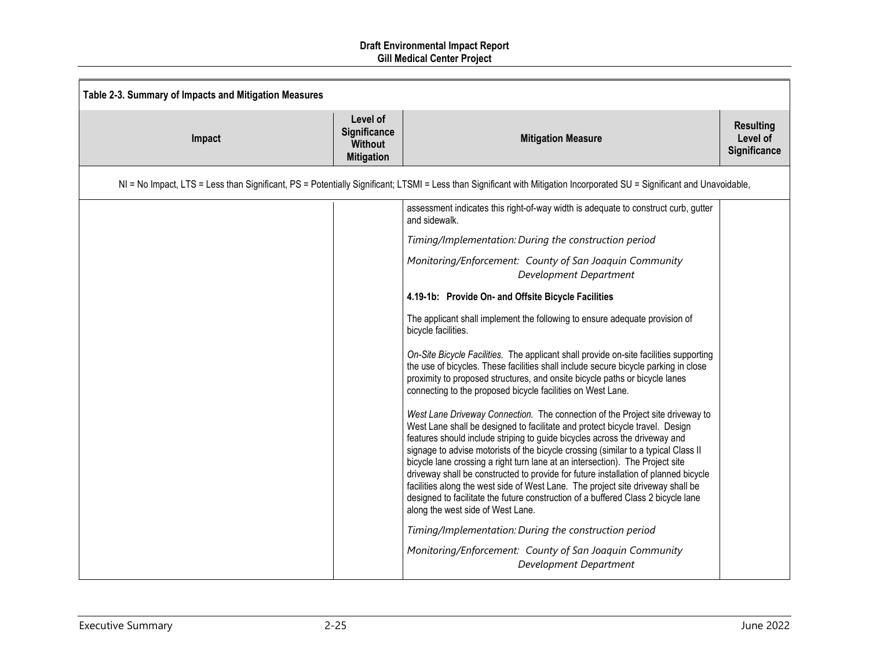| Table 2-3. Summary of Impacts and Mitigation Measures |                                                                 |                                                                                                                                                                                                                                                                                                                                                                                                                                                                                                                                                                                                                                                                                                                        |                                              |
|-------------------------------------------------------|-----------------------------------------------------------------|------------------------------------------------------------------------------------------------------------------------------------------------------------------------------------------------------------------------------------------------------------------------------------------------------------------------------------------------------------------------------------------------------------------------------------------------------------------------------------------------------------------------------------------------------------------------------------------------------------------------------------------------------------------------------------------------------------------------|----------------------------------------------|
| Impact                                                | Level of<br>Significance<br><b>Without</b><br><b>Mitigation</b> | <b>Mitigation Measure</b>                                                                                                                                                                                                                                                                                                                                                                                                                                                                                                                                                                                                                                                                                              | <b>Resulting</b><br>Level of<br>Significance |
|                                                       |                                                                 | NI = No Impact, LTS = Less than Significant, PS = Potentially Significant; LTSMI = Less than Significant with Mitigation Incorporated SU = Significant and Unavoidable,                                                                                                                                                                                                                                                                                                                                                                                                                                                                                                                                                |                                              |
|                                                       |                                                                 | assessment indicates this right-of-way width is adequate to construct curb, gutter<br>and sidewalk.                                                                                                                                                                                                                                                                                                                                                                                                                                                                                                                                                                                                                    |                                              |
|                                                       |                                                                 | Timing/Implementation: During the construction period                                                                                                                                                                                                                                                                                                                                                                                                                                                                                                                                                                                                                                                                  |                                              |
|                                                       |                                                                 | Monitoring/Enforcement: County of San Joaquin Community<br>Development Department                                                                                                                                                                                                                                                                                                                                                                                                                                                                                                                                                                                                                                      |                                              |
|                                                       |                                                                 | 4.19-1b: Provide On- and Offsite Bicycle Facilities                                                                                                                                                                                                                                                                                                                                                                                                                                                                                                                                                                                                                                                                    |                                              |
|                                                       |                                                                 | The applicant shall implement the following to ensure adequate provision of<br>bicycle facilities.                                                                                                                                                                                                                                                                                                                                                                                                                                                                                                                                                                                                                     |                                              |
|                                                       |                                                                 | On-Site Bicycle Facilities. The applicant shall provide on-site facilities supporting<br>the use of bicycles. These facilities shall include secure bicycle parking in close<br>proximity to proposed structures, and onsite bicycle paths or bicycle lanes<br>connecting to the proposed bicycle facilities on West Lane.                                                                                                                                                                                                                                                                                                                                                                                             |                                              |
|                                                       |                                                                 | West Lane Driveway Connection. The connection of the Project site driveway to<br>West Lane shall be designed to facilitate and protect bicycle travel. Design<br>features should include striping to guide bicycles across the driveway and<br>signage to advise motorists of the bicycle crossing (similar to a typical Class II<br>bicycle lane crossing a right turn lane at an intersection). The Project site<br>driveway shall be constructed to provide for future installation of planned bicycle<br>facilities along the west side of West Lane. The project site driveway shall be<br>designed to facilitate the future construction of a buffered Class 2 bicycle lane<br>along the west side of West Lane. |                                              |
|                                                       |                                                                 | Timing/Implementation: During the construction period<br>Monitoring/Enforcement: County of San Joaquin Community<br>Development Department                                                                                                                                                                                                                                                                                                                                                                                                                                                                                                                                                                             |                                              |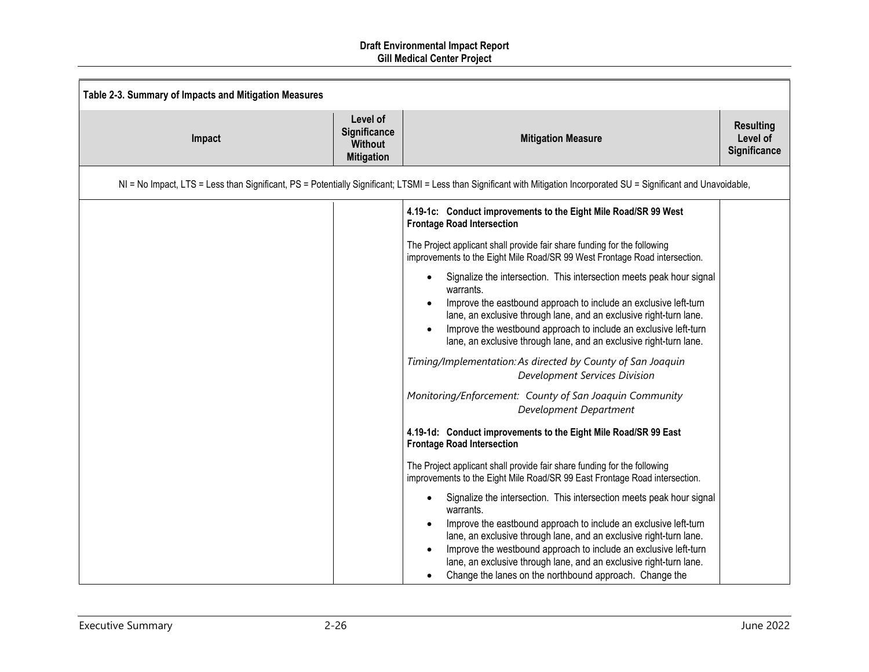| Table 2-3. Summary of Impacts and Mitigation Measures |                                                                 |                                                                                                                                                                                                                                                                                                                                                                                                                                               |                                              |
|-------------------------------------------------------|-----------------------------------------------------------------|-----------------------------------------------------------------------------------------------------------------------------------------------------------------------------------------------------------------------------------------------------------------------------------------------------------------------------------------------------------------------------------------------------------------------------------------------|----------------------------------------------|
| Impact                                                | Level of<br>Significance<br><b>Without</b><br><b>Mitigation</b> | <b>Mitigation Measure</b>                                                                                                                                                                                                                                                                                                                                                                                                                     | <b>Resulting</b><br>Level of<br>Significance |
|                                                       |                                                                 | NI = No Impact, LTS = Less than Significant, PS = Potentially Significant; LTSMI = Less than Significant with Mitigation Incorporated SU = Significant and Unavoidable,                                                                                                                                                                                                                                                                       |                                              |
|                                                       |                                                                 | 4.19-1c: Conduct improvements to the Eight Mile Road/SR 99 West<br><b>Frontage Road Intersection</b>                                                                                                                                                                                                                                                                                                                                          |                                              |
|                                                       |                                                                 | The Project applicant shall provide fair share funding for the following<br>improvements to the Eight Mile Road/SR 99 West Frontage Road intersection.                                                                                                                                                                                                                                                                                        |                                              |
|                                                       |                                                                 | Signalize the intersection. This intersection meets peak hour signal<br>$\bullet$<br>warrants.<br>Improve the eastbound approach to include an exclusive left-turn<br>lane, an exclusive through lane, and an exclusive right-turn lane.<br>Improve the westbound approach to include an exclusive left-turn<br>lane, an exclusive through lane, and an exclusive right-turn lane.                                                            |                                              |
|                                                       |                                                                 | Timing/Implementation: As directed by County of San Joaquin<br><b>Development Services Division</b>                                                                                                                                                                                                                                                                                                                                           |                                              |
|                                                       |                                                                 | Monitoring/Enforcement: County of San Joaquin Community<br>Development Department                                                                                                                                                                                                                                                                                                                                                             |                                              |
|                                                       |                                                                 | 4.19-1d: Conduct improvements to the Eight Mile Road/SR 99 East<br><b>Frontage Road Intersection</b>                                                                                                                                                                                                                                                                                                                                          |                                              |
|                                                       |                                                                 | The Project applicant shall provide fair share funding for the following<br>improvements to the Eight Mile Road/SR 99 East Frontage Road intersection.                                                                                                                                                                                                                                                                                        |                                              |
|                                                       |                                                                 | Signalize the intersection. This intersection meets peak hour signal<br>$\bullet$<br>warrants.<br>Improve the eastbound approach to include an exclusive left-turn<br>lane, an exclusive through lane, and an exclusive right-turn lane.<br>Improve the westbound approach to include an exclusive left-turn<br>lane, an exclusive through lane, and an exclusive right-turn lane.<br>Change the lanes on the northbound approach. Change the |                                              |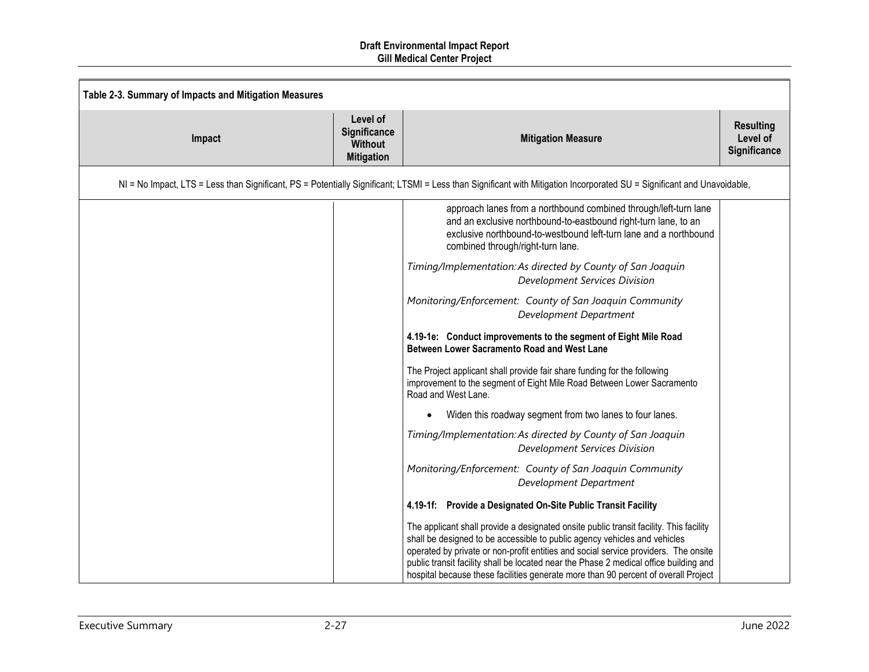| Table 2-3. Summary of Impacts and Mitigation Measures |                                                                                                                                                                         |                                                                                                                                                                                                                                                                                                                                                                                                                                           |                                              |  |
|-------------------------------------------------------|-------------------------------------------------------------------------------------------------------------------------------------------------------------------------|-------------------------------------------------------------------------------------------------------------------------------------------------------------------------------------------------------------------------------------------------------------------------------------------------------------------------------------------------------------------------------------------------------------------------------------------|----------------------------------------------|--|
| Impact                                                | Level of<br>Significance<br><b>Without</b><br><b>Mitigation</b>                                                                                                         | <b>Mitigation Measure</b>                                                                                                                                                                                                                                                                                                                                                                                                                 | <b>Resulting</b><br>Level of<br>Significance |  |
|                                                       | NI = No Impact, LTS = Less than Significant, PS = Potentially Significant; LTSMI = Less than Significant with Mitigation Incorporated SU = Significant and Unavoidable, |                                                                                                                                                                                                                                                                                                                                                                                                                                           |                                              |  |
|                                                       |                                                                                                                                                                         | approach lanes from a northbound combined through/left-turn lane<br>and an exclusive northbound-to-eastbound right-turn lane, to an<br>exclusive northbound-to-westbound left-turn lane and a northbound<br>combined through/right-turn lane.                                                                                                                                                                                             |                                              |  |
|                                                       |                                                                                                                                                                         | Timing/Implementation: As directed by County of San Joaquin<br>Development Services Division                                                                                                                                                                                                                                                                                                                                              |                                              |  |
|                                                       |                                                                                                                                                                         | Monitoring/Enforcement: County of San Joaquin Community<br>Development Department                                                                                                                                                                                                                                                                                                                                                         |                                              |  |
|                                                       |                                                                                                                                                                         | 4.19-1e: Conduct improvements to the segment of Eight Mile Road<br>Between Lower Sacramento Road and West Lane                                                                                                                                                                                                                                                                                                                            |                                              |  |
|                                                       |                                                                                                                                                                         | The Project applicant shall provide fair share funding for the following<br>improvement to the segment of Eight Mile Road Between Lower Sacramento<br>Road and West Lane.                                                                                                                                                                                                                                                                 |                                              |  |
|                                                       |                                                                                                                                                                         | Widen this roadway segment from two lanes to four lanes.<br>$\bullet$                                                                                                                                                                                                                                                                                                                                                                     |                                              |  |
|                                                       |                                                                                                                                                                         | Timing/Implementation: As directed by County of San Joaquin<br><b>Development Services Division</b>                                                                                                                                                                                                                                                                                                                                       |                                              |  |
|                                                       |                                                                                                                                                                         | Monitoring/Enforcement: County of San Joaquin Community<br>Development Department                                                                                                                                                                                                                                                                                                                                                         |                                              |  |
|                                                       |                                                                                                                                                                         | 4.19-1f: Provide a Designated On-Site Public Transit Facility                                                                                                                                                                                                                                                                                                                                                                             |                                              |  |
|                                                       |                                                                                                                                                                         | The applicant shall provide a designated onsite public transit facility. This facility<br>shall be designed to be accessible to public agency vehicles and vehicles<br>operated by private or non-profit entities and social service providers. The onsite<br>public transit facility shall be located near the Phase 2 medical office building and<br>hospital because these facilities generate more than 90 percent of overall Project |                                              |  |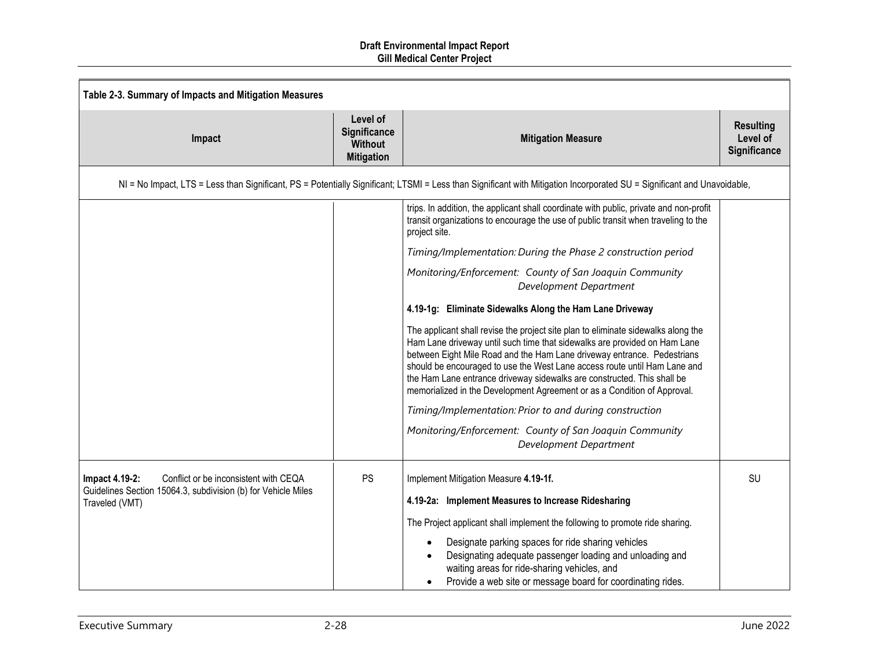| Table 2-3. Summary of Impacts and Mitigation Measures                           |                                                                 |                                                                                                                                                                                                                                                                                                                                                                                                                                                                               |                                                     |
|---------------------------------------------------------------------------------|-----------------------------------------------------------------|-------------------------------------------------------------------------------------------------------------------------------------------------------------------------------------------------------------------------------------------------------------------------------------------------------------------------------------------------------------------------------------------------------------------------------------------------------------------------------|-----------------------------------------------------|
| Impact                                                                          | Level of<br>Significance<br><b>Without</b><br><b>Mitigation</b> | <b>Mitigation Measure</b>                                                                                                                                                                                                                                                                                                                                                                                                                                                     | <b>Resulting</b><br>Level of<br><b>Significance</b> |
|                                                                                 |                                                                 | NI = No Impact, LTS = Less than Significant, PS = Potentially Significant; LTSMI = Less than Significant with Mitigation Incorporated SU = Significant and Unavoidable,                                                                                                                                                                                                                                                                                                       |                                                     |
|                                                                                 |                                                                 | trips. In addition, the applicant shall coordinate with public, private and non-profit<br>transit organizations to encourage the use of public transit when traveling to the<br>project site.                                                                                                                                                                                                                                                                                 |                                                     |
|                                                                                 |                                                                 | Timing/Implementation: During the Phase 2 construction period                                                                                                                                                                                                                                                                                                                                                                                                                 |                                                     |
|                                                                                 |                                                                 | Monitoring/Enforcement: County of San Joaquin Community<br>Development Department                                                                                                                                                                                                                                                                                                                                                                                             |                                                     |
|                                                                                 |                                                                 | 4.19-1g: Eliminate Sidewalks Along the Ham Lane Driveway                                                                                                                                                                                                                                                                                                                                                                                                                      |                                                     |
|                                                                                 |                                                                 | The applicant shall revise the project site plan to eliminate sidewalks along the<br>Ham Lane driveway until such time that sidewalks are provided on Ham Lane<br>between Eight Mile Road and the Ham Lane driveway entrance. Pedestrians<br>should be encouraged to use the West Lane access route until Ham Lane and<br>the Ham Lane entrance driveway sidewalks are constructed. This shall be<br>memorialized in the Development Agreement or as a Condition of Approval. |                                                     |
|                                                                                 |                                                                 | Timing/Implementation: Prior to and during construction                                                                                                                                                                                                                                                                                                                                                                                                                       |                                                     |
|                                                                                 |                                                                 | Monitoring/Enforcement: County of San Joaquin Community<br>Development Department                                                                                                                                                                                                                                                                                                                                                                                             |                                                     |
| Conflict or be inconsistent with CEQA<br>Impact 4.19-2:                         | PS                                                              | Implement Mitigation Measure 4.19-1f.                                                                                                                                                                                                                                                                                                                                                                                                                                         | SU                                                  |
| Guidelines Section 15064.3, subdivision (b) for Vehicle Miles<br>Traveled (VMT) |                                                                 | 4.19-2a: Implement Measures to Increase Ridesharing                                                                                                                                                                                                                                                                                                                                                                                                                           |                                                     |
|                                                                                 |                                                                 | The Project applicant shall implement the following to promote ride sharing.                                                                                                                                                                                                                                                                                                                                                                                                  |                                                     |
|                                                                                 |                                                                 | Designate parking spaces for ride sharing vehicles<br>Designating adequate passenger loading and unloading and<br>waiting areas for ride-sharing vehicles, and<br>Provide a web site or message board for coordinating rides.                                                                                                                                                                                                                                                 |                                                     |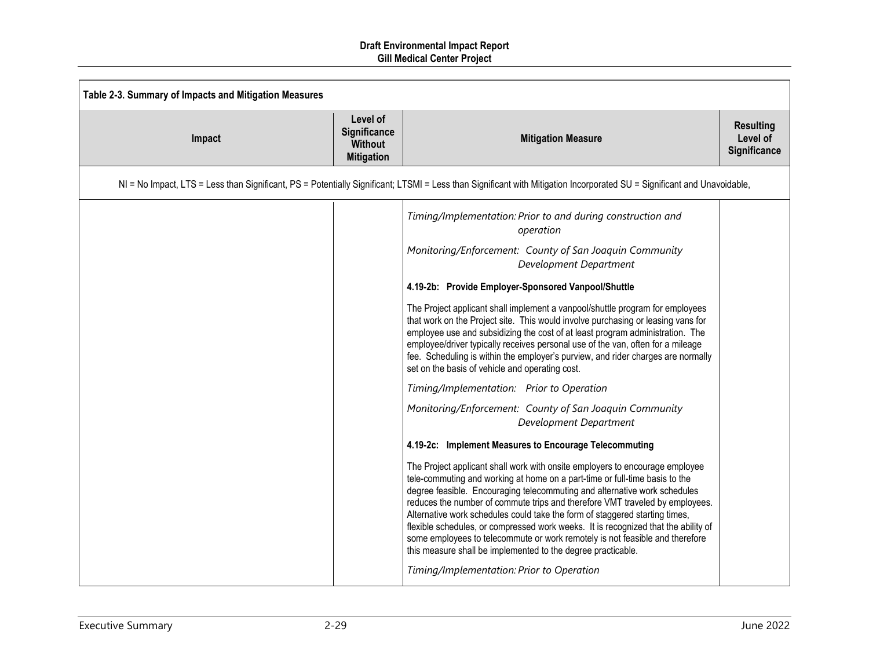| Table 2-3. Summary of Impacts and Mitigation Measures |                                                                                                                                                                         |                                                                                                                                                                                                                                                                                                                                                                                                                                                                                                                                                                                                                                                                                                                                                                                                                                                                                                                                                                                                                                                                                                                                                                                                                                                                                                                                                                                                                                                                                                                                                                                                |                                              |  |
|-------------------------------------------------------|-------------------------------------------------------------------------------------------------------------------------------------------------------------------------|------------------------------------------------------------------------------------------------------------------------------------------------------------------------------------------------------------------------------------------------------------------------------------------------------------------------------------------------------------------------------------------------------------------------------------------------------------------------------------------------------------------------------------------------------------------------------------------------------------------------------------------------------------------------------------------------------------------------------------------------------------------------------------------------------------------------------------------------------------------------------------------------------------------------------------------------------------------------------------------------------------------------------------------------------------------------------------------------------------------------------------------------------------------------------------------------------------------------------------------------------------------------------------------------------------------------------------------------------------------------------------------------------------------------------------------------------------------------------------------------------------------------------------------------------------------------------------------------|----------------------------------------------|--|
| Impact                                                | Level of<br>Significance<br><b>Without</b><br><b>Mitigation</b>                                                                                                         | <b>Mitigation Measure</b>                                                                                                                                                                                                                                                                                                                                                                                                                                                                                                                                                                                                                                                                                                                                                                                                                                                                                                                                                                                                                                                                                                                                                                                                                                                                                                                                                                                                                                                                                                                                                                      | <b>Resulting</b><br>Level of<br>Significance |  |
|                                                       | NI = No Impact, LTS = Less than Significant, PS = Potentially Significant; LTSMI = Less than Significant with Mitigation Incorporated SU = Significant and Unavoidable, |                                                                                                                                                                                                                                                                                                                                                                                                                                                                                                                                                                                                                                                                                                                                                                                                                                                                                                                                                                                                                                                                                                                                                                                                                                                                                                                                                                                                                                                                                                                                                                                                |                                              |  |
|                                                       |                                                                                                                                                                         | Timing/Implementation: Prior to and during construction and<br>operation<br>Monitoring/Enforcement: County of San Joaquin Community<br>Development Department<br>4.19-2b: Provide Employer-Sponsored Vanpool/Shuttle<br>The Project applicant shall implement a vanpool/shuttle program for employees<br>that work on the Project site. This would involve purchasing or leasing vans for<br>employee use and subsidizing the cost of at least program administration. The<br>employee/driver typically receives personal use of the van, often for a mileage<br>fee. Scheduling is within the employer's purview, and rider charges are normally<br>set on the basis of vehicle and operating cost.<br>Timing/Implementation: Prior to Operation<br>Monitoring/Enforcement: County of San Joaquin Community<br>Development Department<br>4.19-2c: Implement Measures to Encourage Telecommuting<br>The Project applicant shall work with onsite employers to encourage employee<br>tele-commuting and working at home on a part-time or full-time basis to the<br>degree feasible. Encouraging telecommuting and alternative work schedules<br>reduces the number of commute trips and therefore VMT traveled by employees.<br>Alternative work schedules could take the form of staggered starting times,<br>flexible schedules, or compressed work weeks. It is recognized that the ability of<br>some employees to telecommute or work remotely is not feasible and therefore<br>this measure shall be implemented to the degree practicable.<br>Timing/Implementation: Prior to Operation |                                              |  |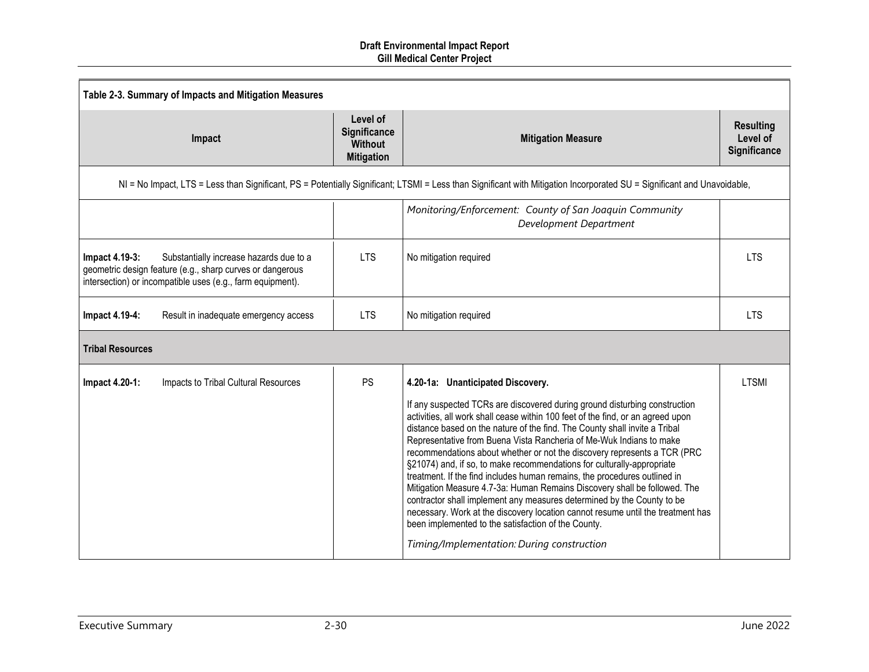| Table 2-3. Summary of Impacts and Mitigation Measures                                                                                                                                |                                                                 |                                                                                                                                                                                                                                                                                                                                                                                                                                                                                                                                                                                                                                                                                                                                                                                                                                                                                                                                           |                                              |  |  |
|--------------------------------------------------------------------------------------------------------------------------------------------------------------------------------------|-----------------------------------------------------------------|-------------------------------------------------------------------------------------------------------------------------------------------------------------------------------------------------------------------------------------------------------------------------------------------------------------------------------------------------------------------------------------------------------------------------------------------------------------------------------------------------------------------------------------------------------------------------------------------------------------------------------------------------------------------------------------------------------------------------------------------------------------------------------------------------------------------------------------------------------------------------------------------------------------------------------------------|----------------------------------------------|--|--|
| Impact                                                                                                                                                                               | Level of<br>Significance<br><b>Without</b><br><b>Mitigation</b> | <b>Mitigation Measure</b>                                                                                                                                                                                                                                                                                                                                                                                                                                                                                                                                                                                                                                                                                                                                                                                                                                                                                                                 | <b>Resulting</b><br>Level of<br>Significance |  |  |
|                                                                                                                                                                                      |                                                                 | NI = No Impact, LTS = Less than Significant, PS = Potentially Significant; LTSMI = Less than Significant with Mitigation Incorporated SU = Significant and Unavoidable,                                                                                                                                                                                                                                                                                                                                                                                                                                                                                                                                                                                                                                                                                                                                                                   |                                              |  |  |
|                                                                                                                                                                                      |                                                                 | Monitoring/Enforcement: County of San Joaquin Community<br>Development Department                                                                                                                                                                                                                                                                                                                                                                                                                                                                                                                                                                                                                                                                                                                                                                                                                                                         |                                              |  |  |
| Impact 4.19-3:<br>Substantially increase hazards due to a<br>geometric design feature (e.g., sharp curves or dangerous<br>intersection) or incompatible uses (e.g., farm equipment). | <b>LTS</b>                                                      | No mitigation required                                                                                                                                                                                                                                                                                                                                                                                                                                                                                                                                                                                                                                                                                                                                                                                                                                                                                                                    | <b>LTS</b>                                   |  |  |
| Impact 4.19-4:<br>Result in inadequate emergency access                                                                                                                              | <b>LTS</b>                                                      | No mitigation required                                                                                                                                                                                                                                                                                                                                                                                                                                                                                                                                                                                                                                                                                                                                                                                                                                                                                                                    | <b>LTS</b>                                   |  |  |
| <b>Tribal Resources</b>                                                                                                                                                              |                                                                 |                                                                                                                                                                                                                                                                                                                                                                                                                                                                                                                                                                                                                                                                                                                                                                                                                                                                                                                                           |                                              |  |  |
| Impact 4.20-1:<br>Impacts to Tribal Cultural Resources                                                                                                                               | <b>PS</b>                                                       | 4.20-1a: Unanticipated Discovery.<br>If any suspected TCRs are discovered during ground disturbing construction<br>activities, all work shall cease within 100 feet of the find, or an agreed upon<br>distance based on the nature of the find. The County shall invite a Tribal<br>Representative from Buena Vista Rancheria of Me-Wuk Indians to make<br>recommendations about whether or not the discovery represents a TCR (PRC<br>§21074) and, if so, to make recommendations for culturally-appropriate<br>treatment. If the find includes human remains, the procedures outlined in<br>Mitigation Measure 4.7-3a: Human Remains Discovery shall be followed. The<br>contractor shall implement any measures determined by the County to be<br>necessary. Work at the discovery location cannot resume until the treatment has<br>been implemented to the satisfaction of the County.<br>Timing/Implementation: During construction | <b>LTSMI</b>                                 |  |  |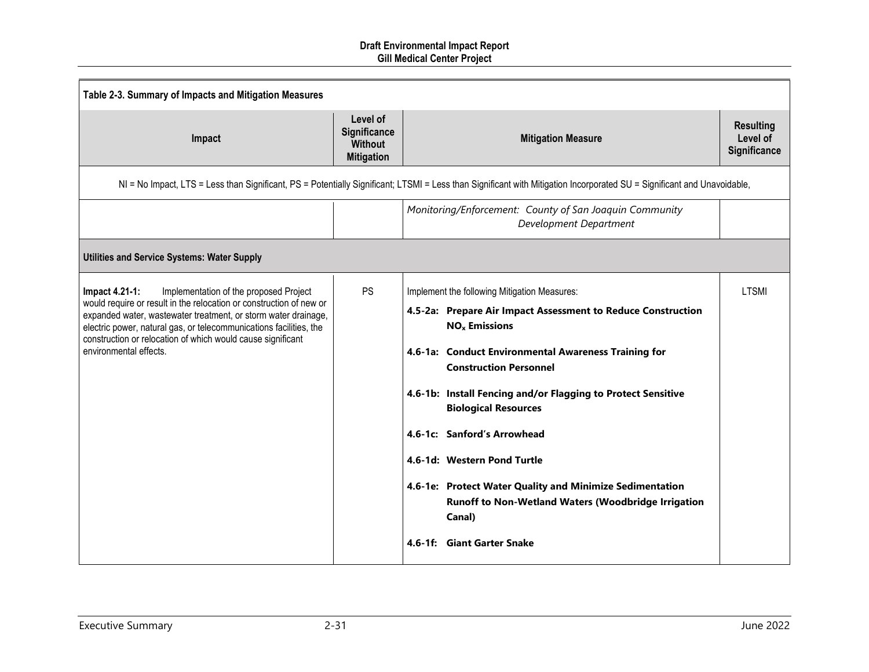| Table 2-3. Summary of Impacts and Mitigation Measures                                                                                                                                                                                                                                                                                                            |                                                                        |                                                                                                                                                                                                                                                                                                                                                                                                                                                                                                                                                         |                                              |  |
|------------------------------------------------------------------------------------------------------------------------------------------------------------------------------------------------------------------------------------------------------------------------------------------------------------------------------------------------------------------|------------------------------------------------------------------------|---------------------------------------------------------------------------------------------------------------------------------------------------------------------------------------------------------------------------------------------------------------------------------------------------------------------------------------------------------------------------------------------------------------------------------------------------------------------------------------------------------------------------------------------------------|----------------------------------------------|--|
| Impact                                                                                                                                                                                                                                                                                                                                                           | Level of<br><b>Significance</b><br><b>Without</b><br><b>Mitigation</b> | <b>Mitigation Measure</b>                                                                                                                                                                                                                                                                                                                                                                                                                                                                                                                               | <b>Resulting</b><br>Level of<br>Significance |  |
|                                                                                                                                                                                                                                                                                                                                                                  |                                                                        | NI = No Impact, LTS = Less than Significant, PS = Potentially Significant; LTSMI = Less than Significant with Mitigation Incorporated SU = Significant and Unavoidable,                                                                                                                                                                                                                                                                                                                                                                                 |                                              |  |
|                                                                                                                                                                                                                                                                                                                                                                  |                                                                        | Monitoring/Enforcement: County of San Joaquin Community<br>Development Department                                                                                                                                                                                                                                                                                                                                                                                                                                                                       |                                              |  |
| <b>Utilities and Service Systems: Water Supply</b>                                                                                                                                                                                                                                                                                                               |                                                                        |                                                                                                                                                                                                                                                                                                                                                                                                                                                                                                                                                         |                                              |  |
| Implementation of the proposed Project<br>Impact 4.21-1:<br>would require or result in the relocation or construction of new or<br>expanded water, wastewater treatment, or storm water drainage,<br>electric power, natural gas, or telecommunications facilities, the<br>construction or relocation of which would cause significant<br>environmental effects. | <b>PS</b>                                                              | Implement the following Mitigation Measures:<br>4.5-2a: Prepare Air Impact Assessment to Reduce Construction<br>$NOx$ Emissions<br>4.6-1a: Conduct Environmental Awareness Training for<br><b>Construction Personnel</b><br>4.6-1b: Install Fencing and/or Flagging to Protect Sensitive<br><b>Biological Resources</b><br>4.6-1c: Sanford's Arrowhead<br>4.6-1d: Western Pond Turtle<br>4.6-1e: Protect Water Quality and Minimize Sedimentation<br><b>Runoff to Non-Wetland Waters (Woodbridge Irrigation</b><br>Canal)<br>4.6-1f: Giant Garter Snake | <b>LTSMI</b>                                 |  |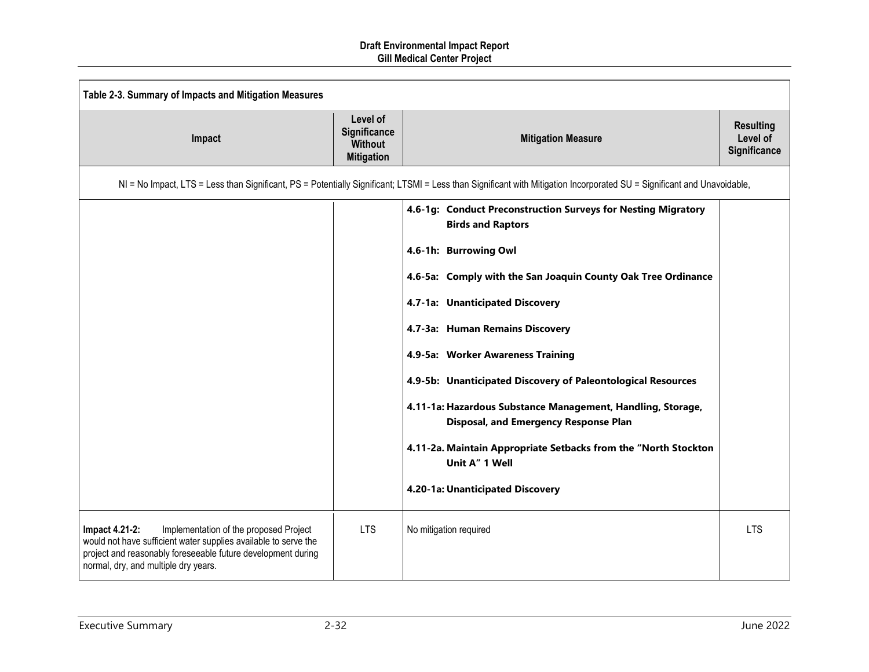| Table 2-3. Summary of Impacts and Mitigation Measures                                                                                                                                                                               |                                                                 |                                                                                                                                                                                                                                                                                                                                                                                                                                                                                                                                           |                                              |
|-------------------------------------------------------------------------------------------------------------------------------------------------------------------------------------------------------------------------------------|-----------------------------------------------------------------|-------------------------------------------------------------------------------------------------------------------------------------------------------------------------------------------------------------------------------------------------------------------------------------------------------------------------------------------------------------------------------------------------------------------------------------------------------------------------------------------------------------------------------------------|----------------------------------------------|
| Impact                                                                                                                                                                                                                              | Level of<br>Significance<br><b>Without</b><br><b>Mitigation</b> | <b>Mitigation Measure</b>                                                                                                                                                                                                                                                                                                                                                                                                                                                                                                                 | <b>Resulting</b><br>Level of<br>Significance |
|                                                                                                                                                                                                                                     |                                                                 | NI = No Impact, LTS = Less than Significant, PS = Potentially Significant; LTSMI = Less than Significant with Mitigation Incorporated SU = Significant and Unavoidable,                                                                                                                                                                                                                                                                                                                                                                   |                                              |
|                                                                                                                                                                                                                                     |                                                                 | 4.6-1g: Conduct Preconstruction Surveys for Nesting Migratory<br><b>Birds and Raptors</b><br>4.6-1h: Burrowing Owl<br>4.6-5a: Comply with the San Joaquin County Oak Tree Ordinance<br>4.7-1a: Unanticipated Discovery<br>4.7-3a: Human Remains Discovery<br>4.9-5a: Worker Awareness Training<br>4.9-5b: Unanticipated Discovery of Paleontological Resources<br>4.11-1a: Hazardous Substance Management, Handling, Storage,<br>Disposal, and Emergency Response Plan<br>4.11-2a. Maintain Appropriate Setbacks from the "North Stockton |                                              |
|                                                                                                                                                                                                                                     |                                                                 | Unit A" 1 Well<br>4.20-1a: Unanticipated Discovery                                                                                                                                                                                                                                                                                                                                                                                                                                                                                        |                                              |
| Implementation of the proposed Project<br>Impact 4.21-2:<br>would not have sufficient water supplies available to serve the<br>project and reasonably foreseeable future development during<br>normal, dry, and multiple dry years. | <b>LTS</b>                                                      | No mitigation required                                                                                                                                                                                                                                                                                                                                                                                                                                                                                                                    | <b>LTS</b>                                   |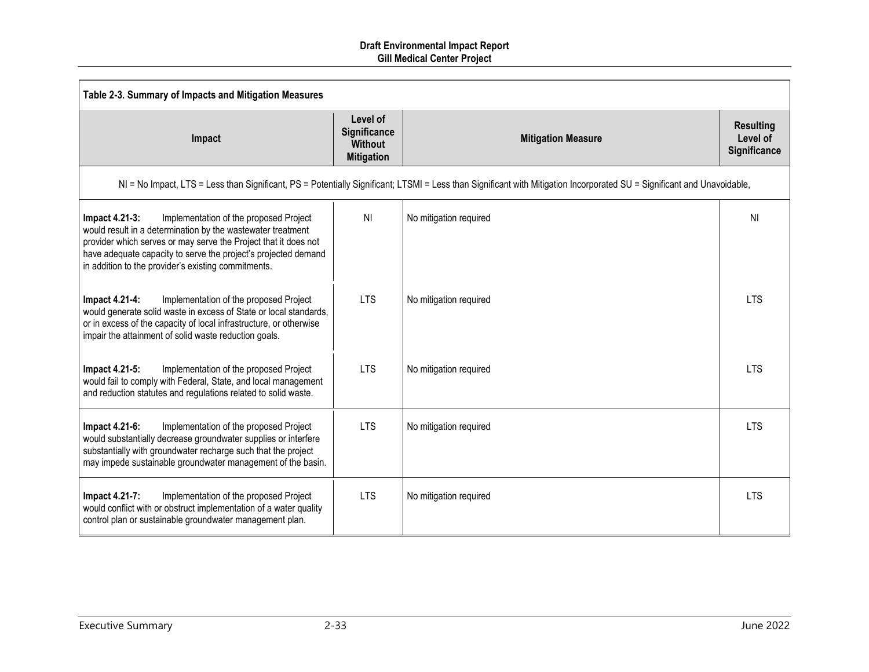| Table 2-3. Summary of Impacts and Mitigation Measures                                                                                                                                                                                                                                                               |                                                                        |                                                                                                                                                                         |                                              |  |
|---------------------------------------------------------------------------------------------------------------------------------------------------------------------------------------------------------------------------------------------------------------------------------------------------------------------|------------------------------------------------------------------------|-------------------------------------------------------------------------------------------------------------------------------------------------------------------------|----------------------------------------------|--|
| Impact                                                                                                                                                                                                                                                                                                              | Level of<br><b>Significance</b><br><b>Without</b><br><b>Mitigation</b> | <b>Mitigation Measure</b>                                                                                                                                               | <b>Resulting</b><br>Level of<br>Significance |  |
|                                                                                                                                                                                                                                                                                                                     |                                                                        | NI = No Impact, LTS = Less than Significant, PS = Potentially Significant; LTSMI = Less than Significant with Mitigation Incorporated SU = Significant and Unavoidable, |                                              |  |
| Impact 4.21-3:<br>Implementation of the proposed Project<br>would result in a determination by the wastewater treatment<br>provider which serves or may serve the Project that it does not<br>have adequate capacity to serve the project's projected demand<br>in addition to the provider's existing commitments. | <b>NI</b>                                                              | No mitigation required                                                                                                                                                  | ΝI                                           |  |
| Implementation of the proposed Project<br>Impact 4.21-4:<br>would generate solid waste in excess of State or local standards,<br>or in excess of the capacity of local infrastructure, or otherwise<br>impair the attainment of solid waste reduction goals.                                                        | <b>LTS</b>                                                             | No mitigation required                                                                                                                                                  | <b>LTS</b>                                   |  |
| Implementation of the proposed Project<br>Impact 4.21-5:<br>would fail to comply with Federal, State, and local management<br>and reduction statutes and regulations related to solid waste.                                                                                                                        | <b>LTS</b>                                                             | No mitigation required                                                                                                                                                  | <b>LTS</b>                                   |  |
| Impact 4.21-6:<br>Implementation of the proposed Project<br>would substantially decrease groundwater supplies or interfere<br>substantially with groundwater recharge such that the project<br>may impede sustainable groundwater management of the basin.                                                          | <b>LTS</b>                                                             | No mitigation required                                                                                                                                                  | <b>LTS</b>                                   |  |
| Impact 4.21-7:<br>Implementation of the proposed Project<br>would conflict with or obstruct implementation of a water quality<br>control plan or sustainable groundwater management plan.                                                                                                                           | <b>LTS</b>                                                             | No mitigation required                                                                                                                                                  | <b>LTS</b>                                   |  |